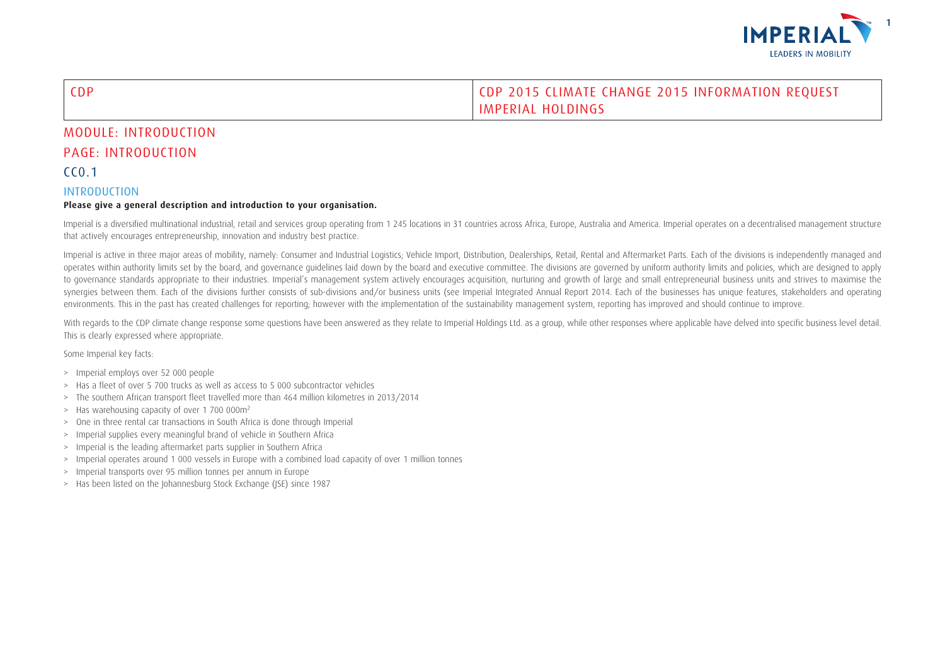

### CDP CDP 2015 CLIMATE CHANGE 2015 INFORMATION REQUEST IMPERIAL HOLDINGS

## MODULE: INTRODUCTION PAGE: INTRODUCTION

### $C<sub>0.1</sub>$

#### INTRODUCTION

#### **Please give a general description and introduction to your organisation.**

Imperial is a diversified multinational industrial, retail and services group operating from 1245 locations in 31 countries across Africa, Europe, Australia and America. Imperial operates on a decentralised management stru that actively encourages entrepreneurship, innovation and industry best practice.

Imperial is active in three major areas of mobility, namely: Consumer and Industrial Logistics; Vehicle Import, Distribution, Dealerships, Retail, Rental and Aftermarket Parts. Each of the divisions is independently manage operates within authority limits set by the board, and governance guidelines laid down by the board and executive committee. The divisions are governed by uniform authority limits and policies, which are designed to apply to governance standards appropriate to their industries. Imperial's management system actively encourages acquisition, nurturing and growth of large and small entrepreneurial business units and strives to maximise the synergies between them. Each of the divisions further consists of sub-divisions and/or business units (see Imperial Integrated Annual Report 2014. Each of the businesses has unique features, stakeholders and operating environments. This in the past has created challenges for reporting; however with the implementation of the sustainability management system, reporting has improved and should continue to improve.

With regards to the CDP climate change response some questions have been answered as they relate to Imperial Holdings Ltd. as a group, while other responses where applicable have delved into specific business level detail. This is clearly expressed where appropriate.

Some Imperial key facts:

- > Imperial employs over 52 000 people
- > Has a fleet of over 5 700 trucks as well as access to 5 000 subcontractor vehicles
- > The southern African transport fleet travelled more than 464 million kilometres in 2013/2014
- > Has warehousing capacity of over 1 700 000m2
- > One in three rental car transactions in South Africa is done through Imperial
- > Imperial supplies every meaningful brand of vehicle in Southern Africa
- > Imperial is the leading aftermarket parts supplier in Southern Africa
- > Imperial operates around 1 000 vessels in Europe with a combined load capacity of over 1 million tonnes
- > Imperial transports over 95 million tonnes per annum in Europe
- > Has been listed on the Johannesburg Stock Exchange (JSE) since 1987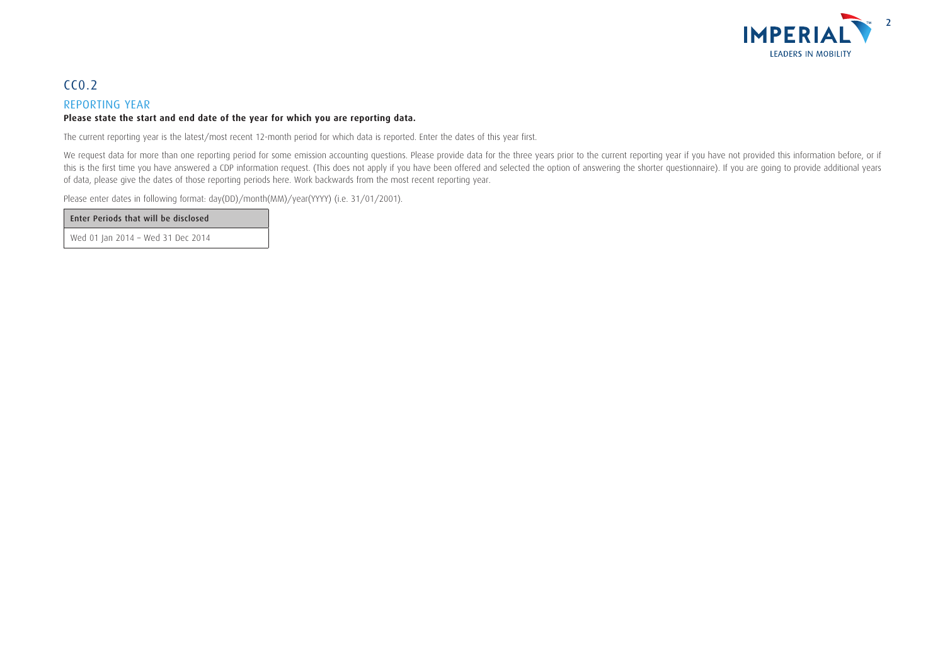

## $CC<sub>0.2</sub>$

### REPORTING YEAR

### **Please state the start and end date of the year for which you are reporting data.**

The current reporting year is the latest/most recent 12-month period for which data is reported. Enter the dates of this year first.

We request data for more than one reporting period for some emission accounting questions. Please provide data for the three years prior to the current reporting year if you have not provided this information before, or if this is the first time you have answered a CDP information request. (This does not apply if you have been offered and selected the option of answering the shorter questionnaire). If you are going to provide additional year of data, please give the dates of those reporting periods here. Work backwards from the most recent reporting year.

Please enter dates in following format: day(DD)/month(MM)/year(YYYY) (i.e. 31/01/2001).

Enter Periods that will be disclosed

Wed 01 Jan 2014 – Wed 31 Dec 2014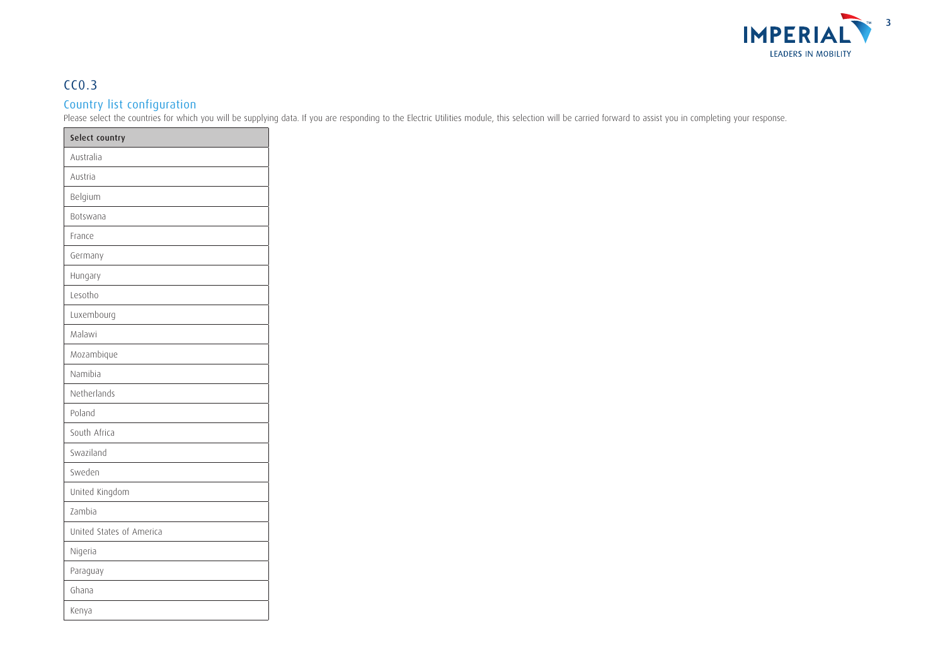

## CC0.3

### Country list configuration

Please select the countries for which you will be supplying data. If you are responding to the Electric Utilities module, this selection will be carried forward to assist you in completing your response.

| Select country           |
|--------------------------|
| Australia                |
| Austria                  |
| Belgium                  |
| Botswana                 |
| France                   |
| Germany                  |
| Hungary                  |
| Lesotho                  |
| Luxembourg               |
| Malawi                   |
| Mozambique               |
| Namibia                  |
| Netherlands              |
| Poland                   |
| South Africa             |
| Swaziland                |
| Sweden                   |
| United Kingdom           |
| Zambia                   |
| United States of America |
| Nigeria                  |
| Paraguay                 |
| Ghana                    |
| Kenya                    |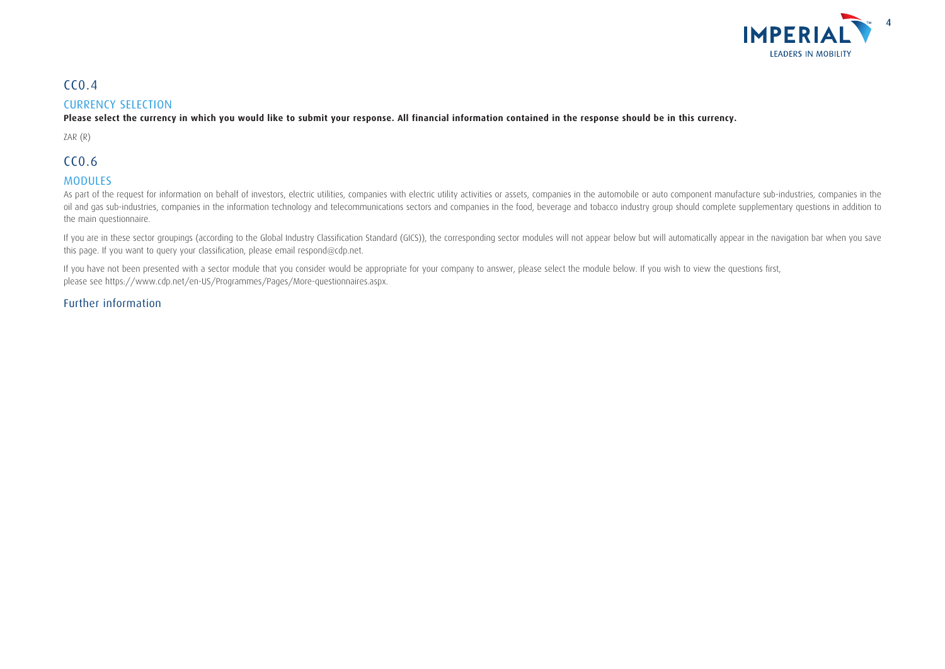

### $CC<sub>0.4</sub>$

#### CURRENCY SELECTION

**Please select the currency in which you would like to submit your response. All financial information contained in the response should be in this currency.**

ZAR (R)

## CC0.6

### MODULES

As part of the request for information on behalf of investors, electric utilities, companies with electric utility activities or assets, companies in the automobile or auto component manufacture sub-industries, companies i oil and gas sub-industries, companies in the information technology and telecommunications sectors and companies in the food, beverage and tobacco industry group should complete supplementary questions in addition to the main questionnaire.

If you are in these sector groupings (according to the Global Industry Classification Standard (GICS)), the corresponding sector modules will not appear below but will automatically appear in the navigation bar when you save this page. If you want to query your classification, please email respond@cdp.net.

If you have not been presented with a sector module that you consider would be appropriate for your company to answer, please select the module below. If you wish to view the questions first, please see https://www.cdp.net/en-US/Programmes/Pages/More-questionnaires.aspx.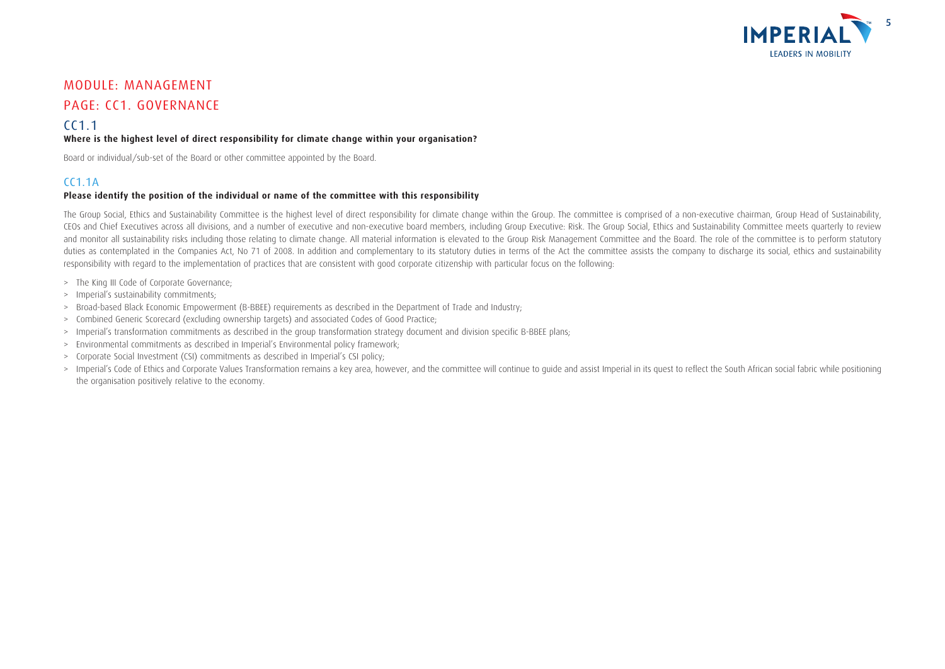

## MODULE: MANAGEMENT

### PAGE: CC1. GOVERNANCE

### CC1.1

#### **Where is the highest level of direct responsibility for climate change within your organisation?**

Board or individual/sub-set of the Board or other committee appointed by the Board.

### $C<sub>C</sub>11A$

#### **Please identify the position of the individual or name of the committee with this responsibility**

The Group Social, Ethics and Sustainability Committee is the highest level of direct responsibility for climate change within the Group. The committee is comprised of a non-executive chairman, Group Head of Sustainability, CEOs and Chief Executives across all divisions, and a number of executive and non-executive board members, including Group Executive: Risk. The Group Social, Ethics and Sustainability Committee meets quarterly to review and monitor all sustainability risks including those relating to climate change. All material information is elevated to the Group Risk Management Committee and the Board. The role of the committee is to perform statutory duties as contemplated in the Companies Act, No 71 of 2008. In addition and complementary to its statutory duties in terms of the Act the committee assists the company to discharge its social, ethics and sustainability responsibility with regard to the implementation of practices that are consistent with good corporate citizenship with particular focus on the following:

- > The King III Code of Corporate Governance;
- > Imperial's sustainability commitments;
- > Broad-based Black Economic Empowerment (B-BBEE) requirements as described in the Department of Trade and Industry;
- > Combined Generic Scorecard (excluding ownership targets) and associated Codes of Good Practice;
- > Imperial's transformation commitments as described in the group transformation strategy document and division specific B-BBEE plans;
- > Environmental commitments as described in Imperial's Environmental policy framework;
- > Corporate Social Investment (CSI) commitments as described in Imperial's CSI policy;
- > Imperial's Code of Ethics and Corporate Values Transformation remains a key area, however, and the committee will continue to quide and assist Imperial in its quest to reflect the South African social fabric while positi the organisation positively relative to the economy.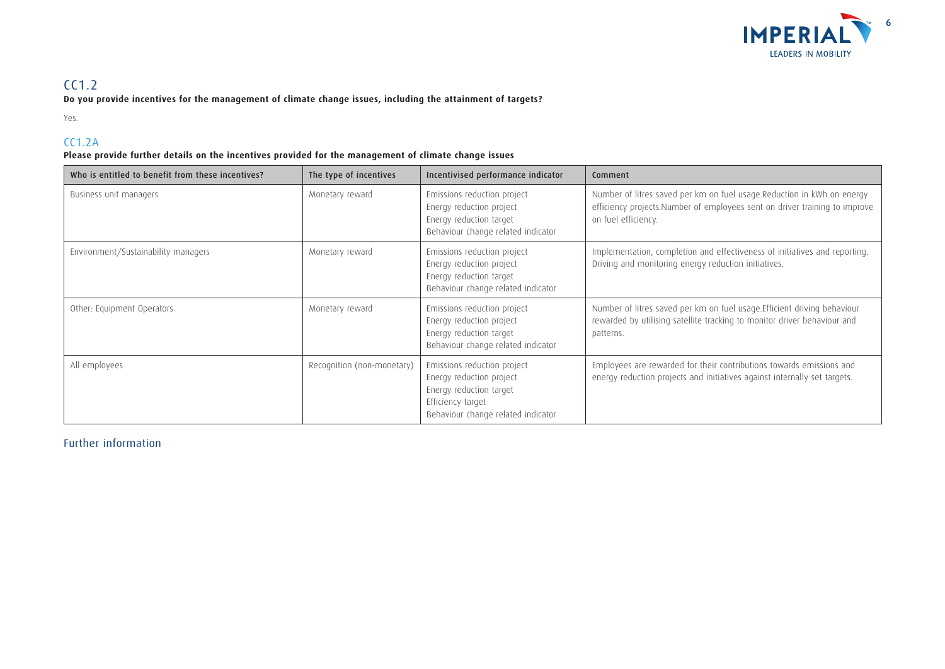

## CC1.2

**Do you provide incentives for the management of climate change issues, including the attainment of targets?**

Yes.

### CC1.2A

### **Please provide further details on the incentives provided for the management of climate change issues**

| Who is entitled to benefit from these incentives? | The type of incentives     | Incentivised performance indicator                                                                                                            | Comment                                                                                                                                                                      |
|---------------------------------------------------|----------------------------|-----------------------------------------------------------------------------------------------------------------------------------------------|------------------------------------------------------------------------------------------------------------------------------------------------------------------------------|
| Business unit managers                            | Monetary reward            | Emissions reduction project<br>Energy reduction project<br>Energy reduction target<br>Behaviour change related indicator                      | Number of litres saved per km on fuel usage.Reduction in kWh on energy<br>efficiency projects. Number of employees sent on driver training to improve<br>on fuel efficiency. |
| Environment/Sustainability managers               | Monetary reward            | Emissions reduction project<br>Energy reduction project<br>Energy reduction target<br>Behaviour change related indicator                      | Implementation, completion and effectiveness of initiatives and reporting.<br>Driving and monitoring energy reduction initiatives.                                           |
| Other: Equipment Operators                        | Monetary reward            | Emissions reduction project<br>Energy reduction project<br>Energy reduction target<br>Behaviour change related indicator                      | Number of litres saved per km on fuel usage. Efficient driving behaviour<br>rewarded by utilising satellite tracking to monitor driver behaviour and<br>patterns.            |
| All employees                                     | Recognition (non-monetary) | Emissions reduction project<br>Energy reduction project<br>Energy reduction target<br>Efficiency target<br>Behaviour change related indicator | Employees are rewarded for their contributions towards emissions and<br>energy reduction projects and initiatives against internally set targets.                            |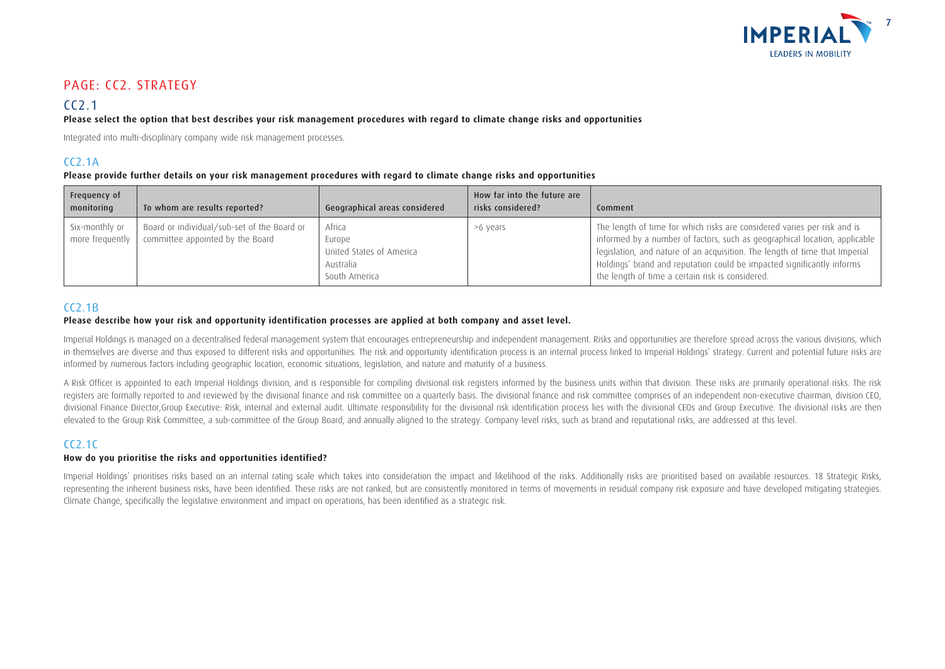

## PAGE: CC2. STRATEGY

## $CC<sub>2.1</sub>$

#### **Please select the option that best describes your risk management procedures with regard to climate change risks and opportunities**

Integrated into multi-disciplinary company wide risk management processes.

### CC2.1A

#### **Please provide further details on your risk management procedures with regard to climate change risks and opportunities**

| Frequency of<br>monitoring        | To whom are results reported?                                                   | Geographical areas considered                                              | How far into the future are<br>risks considered? | Comment                                                                                                                                                                                                                                                                                                                                                             |
|-----------------------------------|---------------------------------------------------------------------------------|----------------------------------------------------------------------------|--------------------------------------------------|---------------------------------------------------------------------------------------------------------------------------------------------------------------------------------------------------------------------------------------------------------------------------------------------------------------------------------------------------------------------|
| Six-monthly or<br>more frequently | Board or individual/sub-set of the Board or<br>committee appointed by the Board | Africa<br>Europe<br>United States of America<br>Australia<br>South America | >6 years                                         | The length of time for which risks are considered varies per risk and is<br>informed by a number of factors, such as geographical location, applicable<br>legislation, and nature of an acquisition. The length of time that Imperial<br>Holdings' brand and reputation could be impacted significantly informs<br>the length of time a certain risk is considered. |

### $CC2.1B$

#### **Please describe how your risk and opportunity identification processes are applied at both company and asset level.**

Imperial Holdings is managed on a decentralised federal management system that encourages entrepreneurship and independent management. Risks and opportunities are therefore spread across the various divisions, which in themselves are diverse and thus exposed to different risks and opportunities. The risk and opportunity identification process is an internal process linked to Imperial Holdings' strategy. Current and potential future ri informed by numerous factors including geographic location, economic situations, legislation, and nature and maturity of a business.

A Risk Officer is appointed to each Imperial Holdings division, and is responsible for compiling divisional risk registers informed by the business units within that division. These risks are primarily operational risks. T registers are formally reported to and reviewed by the divisional finance and risk committee on a quarterly basis. The divisional finance and risk committee comprises of an independent non-executive chairman, division CEO, divisional Finance Director, Group Executive: Risk, internal and external audit. Ultimate responsibility for the divisional risk identification process lies with the divisional CEOs and Group Executive. The divisional risk elevated to the Group Risk Committee, a sub-committee of the Group Board, and annually aligned to the strategy. Company level risks, such as brand and reputational risks, are addressed at this level.

### CC2.1C

#### **How do you prioritise the risks and opportunities identified?**

Imperial Holdings' prioritises risks based on an internal rating scale which takes into consideration the impact and likelihood of the risks. Additionally risks are prioritised based on available resources. 18 Strategic Ri representing the inherent business risks, have been identified. These risks are not ranked, but are consistently monitored in terms of movements in residual company risk exposure and have developed mitigating strategies. Climate Change, specifically the legislative environment and impact on operations, has been identified as a strategic risk.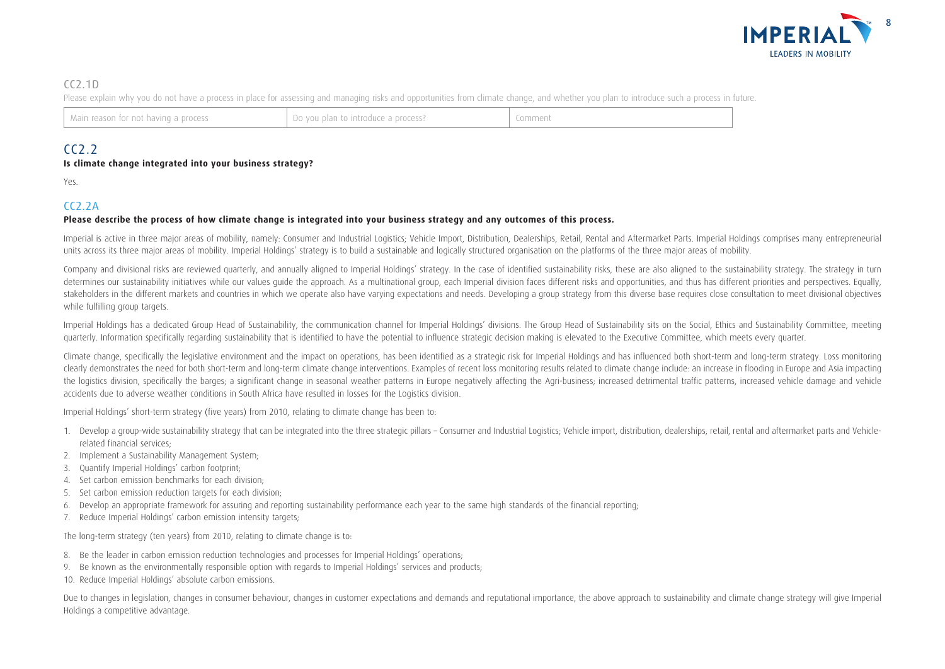

### $C(2.1D)$

Please explain why you do not have a process in place for assessing and managing risks and opportunities from climate change, and whether you plan to introduce such a process in future.

| Main reason for not having a process | . Do you plan to introduce a process? |  |
|--------------------------------------|---------------------------------------|--|
|--------------------------------------|---------------------------------------|--|

### $C<sub>2.2</sub>$

#### **Is climate change integrated into your business strategy?**

Yes.

### $CC2.2A$

#### **Please describe the process of how climate change is integrated into your business strategy and any outcomes of this process.**

Imperial is active in three major areas of mobility, namely: Consumer and Industrial Logistics; Vehicle Import, Distribution, Dealerships, Retail, Rental and Aftermarket Parts. Imperial Holdings comprises many entrepreneur units across its three major areas of mobility. Imperial Holdings' strategy is to build a sustainable and logically structured organisation on the platforms of the three major areas of mobility.

Company and divisional risks are reviewed quarterly, and annually aligned to Imperial Holdings' strategy. In the case of identified sustainability risks, these are also aligned to the sustainability strategy. The strategy determines our sustainability initiatives while our values quide the approach. As a multinational group, each Imperial division faces different risks and opportunities, and thus has different priorities and perspectives. E stakeholders in the different markets and countries in which we operate also have varying expectations and needs. Developing a group strategy from this diverse base requires close consultation to meet divisional objectives while fulfilling group targets.

Imperial Holdings has a dedicated Group Head of Sustainability, the communication channel for Imperial Holdings' divisions. The Group Head of Sustainability sits on the Social, Ethics and Sustainability Committee, meeting quarterly. Information specifically regarding sustainability that is identified to have the potential to influence strategic decision making is elevated to the Executive Committee, which meets every quarter.

Climate change, specifically the legislative environment and the impact on operations, has been identified as a strategic risk for Imperial Holdings and has influenced both short-term and long-term strategy. Loss monitoring clearly demonstrates the need for both short-term and long-term climate change interventions. Examples of recent loss monitoring results related to climate change include: an increase in flooding in Europe and Asia impacti the logistics division, specifically the barges; a significant change in seasonal weather patterns in Europe negatively affecting the Agri-business; increased detrimental traffic patterns, increased vehicle damage and vehi accidents due to adverse weather conditions in South Africa have resulted in losses for the Logistics division.

Imperial Holdings' short-term strategy (five years) from 2010, relating to climate change has been to:

- 1. Develop a group-wide sustainability strategy that can be integrated into the three strategic pillars Consumer and Industrial Logistics: Vehicle import, distribution, dealerships, retail, rental and aftermarket parts a related financial services;
- 2. Implement a Sustainability Management System;
- 3. Quantify Imperial Holdings' carbon footprint;
- 4. Set carbon emission benchmarks for each division;
- 5. Set carbon emission reduction targets for each division;
- 6. Develop an appropriate framework for assuring and reporting sustainability performance each year to the same high standards of the financial reporting;
- 7. Reduce Imperial Holdings' carbon emission intensity targets;

The long-term strategy (ten years) from 2010, relating to climate change is to:

- 8. Be the leader in carbon emission reduction technologies and processes for Imperial Holdings' operations;
- 9. Be known as the environmentally responsible option with regards to Imperial Holdings' services and products;
- 10. Reduce Imperial Holdings' absolute carbon emissions.

Due to changes in legislation, changes in consumer behaviour, changes in customer expectations and demands and reputational importance, the above approach to sustainability and climate change strategy will give Imperial Holdings a competitive advantage.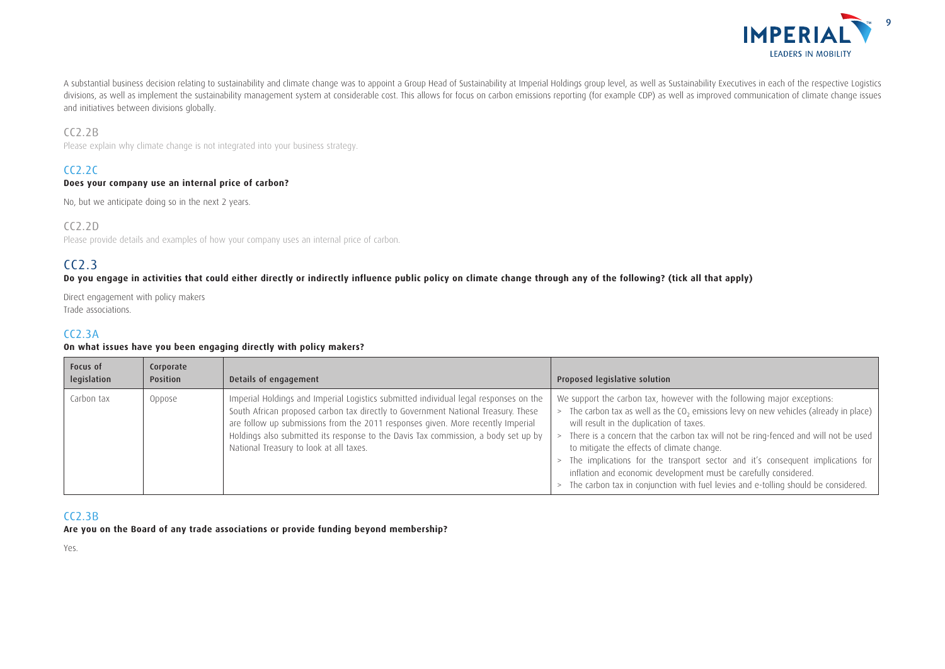

A substantial business decision relating to sustainability and climate change was to appoint a Group Head of Sustainability at Imperial Holdings group level, as well as Sustainability Executives in each of the respective L divisions, as well as implement the sustainability management system at considerable cost. This allows for focus on carbon emissions reporting (for example CDP) as well as improved communication of climate change issues and initiatives between divisions globally.

### CC2.2B

Please explain why climate change is not integrated into your business strategy.

### $CC2.2C$

#### **Does your company use an internal price of carbon?**

No, but we anticipate doing so in the next 2 years.

#### CC2.2D

Please provide details and examples of how your company uses an internal price of carbon.

### CC2.3

#### **Do you engage in activities that could either directly or indirectly influence public policy on climate change through any of the following? (tick all that apply)**

Direct engagement with policy makers Trade associations.

#### $C<sub>C</sub>2.3A$

#### **On what issues have you been engaging directly with policy makers?**

| Focus of<br>legislation | Corporate<br>Position | Details of engagement                                                                                                                                                                                                                                                                                                                                                                         | Proposed legislative solution                                                                                                                                                                                                                                                                                                                                                                                                                                                                                                                                                                                       |
|-------------------------|-----------------------|-----------------------------------------------------------------------------------------------------------------------------------------------------------------------------------------------------------------------------------------------------------------------------------------------------------------------------------------------------------------------------------------------|---------------------------------------------------------------------------------------------------------------------------------------------------------------------------------------------------------------------------------------------------------------------------------------------------------------------------------------------------------------------------------------------------------------------------------------------------------------------------------------------------------------------------------------------------------------------------------------------------------------------|
| Carbon tax              | Oppose                | Imperial Holdings and Imperial Logistics submitted individual legal responses on the<br>South African proposed carbon tax directly to Government National Treasury. These<br>are follow up submissions from the 2011 responses given. More recently Imperial<br>Holdings also submitted its response to the Davis Tax commission, a body set up by<br>National Treasury to look at all taxes. | We support the carbon tax, however with the following major exceptions:<br>The carbon tax as well as the CO <sub>2</sub> emissions levy on new vehicles (already in place) $\vert$<br>will result in the duplication of taxes.<br>There is a concern that the carbon tax will not be ring-fenced and will not be used<br>to mitigate the effects of climate change.<br>> The implications for the transport sector and it's consequent implications for<br>inflation and economic development must be carefully considered.<br>> The carbon tax in conjunction with fuel levies and e-tolling should be considered. |

### CC2.3B

**Are you on the Board of any trade associations or provide funding beyond membership?**

Yes.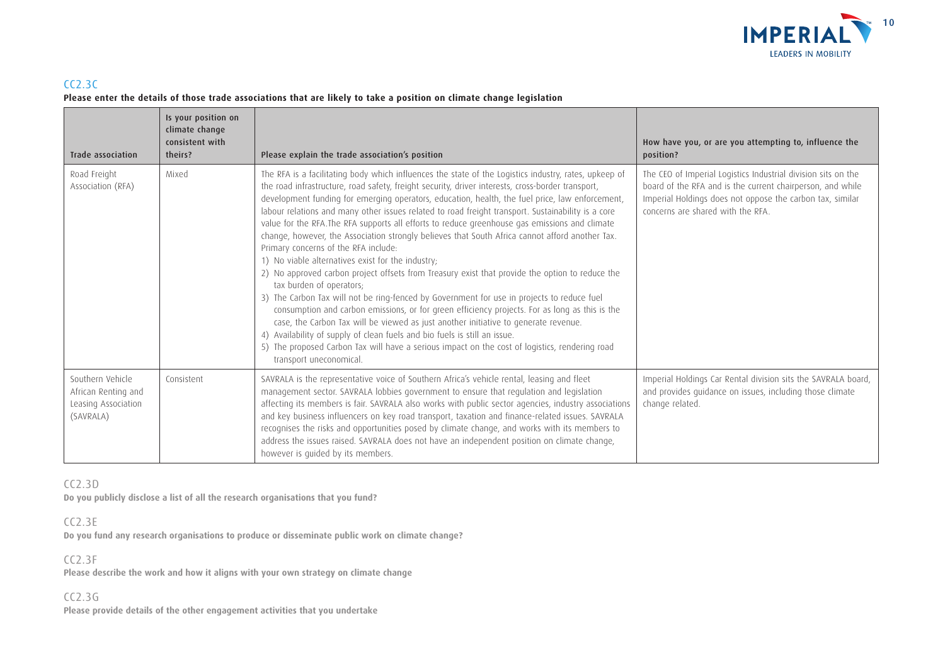

### $CC2.3C$ **Please enter the details of those trade associations that are likely to take a position on climate change legislation**

| Trade association                                                           | Is your position on<br>climate change<br>consistent with<br>theirs? | Please explain the trade association's position                                                                                                                                                                                                                                                                                                                                                                                                                                                                                                                                                                                                                                                                                                                                                                                                                                                                                                                                                                                                                                                                                                                                                                                                                                                                                                       | How have you, or are you attempting to, influence the<br>position?                                                                                                                                                            |
|-----------------------------------------------------------------------------|---------------------------------------------------------------------|-------------------------------------------------------------------------------------------------------------------------------------------------------------------------------------------------------------------------------------------------------------------------------------------------------------------------------------------------------------------------------------------------------------------------------------------------------------------------------------------------------------------------------------------------------------------------------------------------------------------------------------------------------------------------------------------------------------------------------------------------------------------------------------------------------------------------------------------------------------------------------------------------------------------------------------------------------------------------------------------------------------------------------------------------------------------------------------------------------------------------------------------------------------------------------------------------------------------------------------------------------------------------------------------------------------------------------------------------------|-------------------------------------------------------------------------------------------------------------------------------------------------------------------------------------------------------------------------------|
| Road Freight<br>Association (RFA)                                           | Mixed                                                               | The RFA is a facilitating body which influences the state of the Logistics industry, rates, upkeep of<br>the road infrastructure, road safety, freight security, driver interests, cross-border transport,<br>development funding for emerging operators, education, health, the fuel price, law enforcement,<br>labour relations and many other issues related to road freight transport. Sustainability is a core<br>value for the RFA. The RFA supports all efforts to reduce greenhouse gas emissions and climate<br>change, however, the Association strongly believes that South Africa cannot afford another Tax.<br>Primary concerns of the RFA include:<br>1) No viable alternatives exist for the industry;<br>2) No approved carbon project offsets from Treasury exist that provide the option to reduce the<br>tax burden of operators;<br>3) The Carbon Tax will not be ring-fenced by Government for use in projects to reduce fuel<br>consumption and carbon emissions, or for green efficiency projects. For as long as this is the<br>case, the Carbon Tax will be viewed as just another initiative to generate revenue.<br>4) Availability of supply of clean fuels and bio fuels is still an issue.<br>5) The proposed Carbon Tax will have a serious impact on the cost of logistics, rendering road<br>transport uneconomical. | The CEO of Imperial Logistics Industrial division sits on the<br>board of the RFA and is the current chairperson, and while<br>Imperial Holdings does not oppose the carbon tax, similar<br>concerns are shared with the RFA. |
| Southern Vehicle<br>African Renting and<br>Leasing Association<br>(SAVRALA) | Consistent                                                          | SAVRALA is the representative voice of Southern Africa's vehicle rental, leasing and fleet<br>management sector. SAVRALA lobbies government to ensure that regulation and legislation<br>affecting its members is fair. SAVRALA also works with public sector agencies, industry associations<br>and key business influencers on key road transport, taxation and finance-related issues. SAVRALA<br>recognises the risks and opportunities posed by climate change, and works with its members to<br>address the issues raised. SAVRALA does not have an independent position on climate change,<br>however is quided by its members.                                                                                                                                                                                                                                                                                                                                                                                                                                                                                                                                                                                                                                                                                                                | Imperial Holdings Car Rental division sits the SAVRALA board,<br>and provides guidance on issues, including those climate<br>change related.                                                                                  |

### CC2.3D

**Do you publicly disclose a list of all the research organisations that you fund?**

### CC2.3E

**Do you fund any research organisations to produce or disseminate public work on climate change?**

### CC2.3F

**Please describe the work and how it aligns with your own strategy on climate change**

### CC2.3G

**Please provide details of the other engagement activities that you undertake**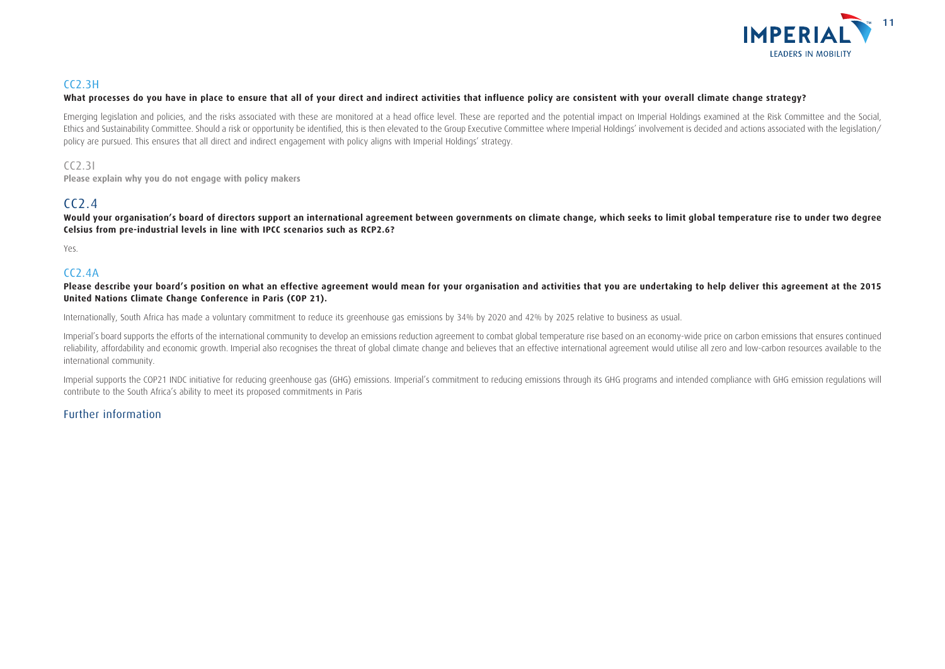

### CC2.3H

#### **What processes do you have in place to ensure that all of your direct and indirect activities that influence policy are consistent with your overall climate change strategy?**

Emerging legislation and policies, and the risks associated with these are monitored at a head office level. These are reported and the potential impact on Imperial Holdings examined at the Risk Committee and the Social, Ethics and Sustainability Committee. Should a risk or opportunity be identified, this is then elevated to the Group Executive Committee where Imperial Holdings' involvement is decided and actions associated with the legisl policy are pursued. This ensures that all direct and indirect engagement with policy aligns with Imperial Holdings' strategy.

#### CC2.3I

**Please explain why you do not engage with policy makers**

### CC2.4

Would vour organisation's board of directors support an international agreement between governments on climate change, which seeks to limit global temperature rise to under two degree **Celsius from pre-industrial levels in line with IPCC scenarios such as RCP2.6?**

Yes.

### $CC<sub>2</sub>4A$

Please describe your board's position on what an effective agreement would mean for your organisation and activities that you are undertaking to help deliver this agreement at the 2015 **United Nations Climate Change Conference in Paris (COP 21).**

Internationally, South Africa has made a voluntary commitment to reduce its greenhouse gas emissions by 34% by 2020 and 42% by 2025 relative to business as usual.

Imperial's board supports the efforts of the international community to develop an emissions reduction agreement to combat global temperature rise based on an economy-wide price on carbon emissions that ensures continued reliability, affordability and economic growth. Imperial also recognises the threat of global climate change and believes that an effective international agreement would utilise all zero and low-carbon resources available international community.

Imperial supports the COP21 INDC initiative for reducing greenhouse gas (GHG) emissions. Imperial's commitment to reducing emissions through its GHG programs and intended compliance with GHG emission regulations will contribute to the South Africa's ability to meet its proposed commitments in Paris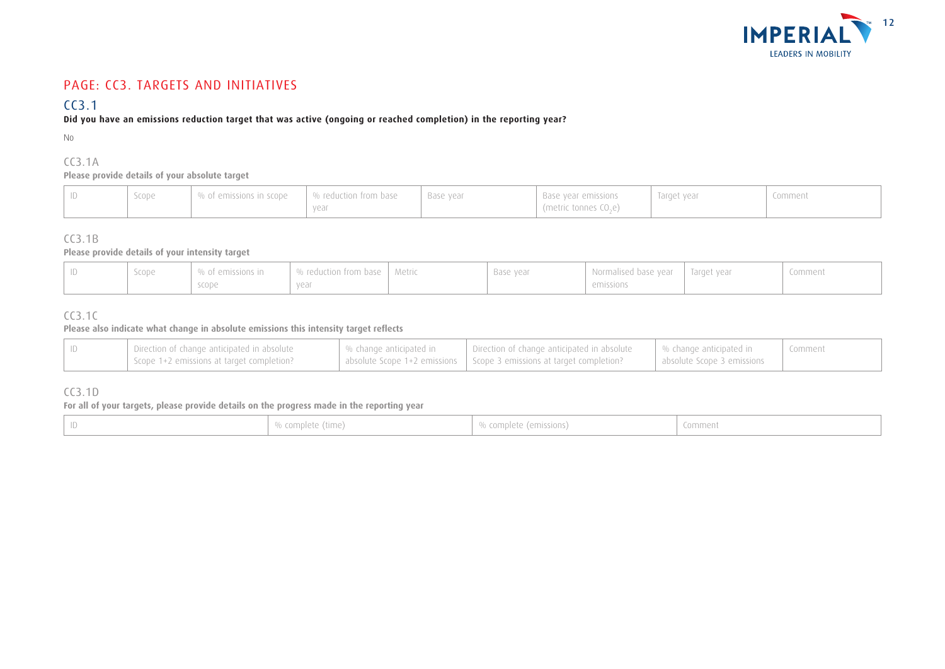

## PAGE: CC3. TARGETS AND INITIATIVES

## CC3.1

### **Did you have an emissions reduction target that was active (ongoing or reached completion) in the reporting year?**

No

## CC3.1A

#### **Please provide details of your absolute target**

| % of emissions in scope<br>$\,$ $\,$ % reduction from base<br>Target year<br>Scope<br>Base vear<br>Base year emissions<br>$\int$ (metric tonnes CO <sub>2</sub> e) | Comment |
|--------------------------------------------------------------------------------------------------------------------------------------------------------------------|---------|
|--------------------------------------------------------------------------------------------------------------------------------------------------------------------|---------|

### CC3.1B

#### **Please provide details of your intensity target**

| Scope | % of emissions in | % reduction from base | Metric | Base year | Normalised base year | Target year | Comment |
|-------|-------------------|-----------------------|--------|-----------|----------------------|-------------|---------|
|       | scope             | year                  |        |           | emissions            |             |         |

### CC3.1C

#### **Please also indicate what change in absolute emissions this intensity target reflects**

| Direction of change anticipated in absolute | │ % change anticipated in | Direction of change anticipated in absolute                            | $\mid$ % change anticipated in | Comment |
|---------------------------------------------|---------------------------|------------------------------------------------------------------------|--------------------------------|---------|
| Scope 1+2 emissions at target completion?   |                           | absolute Scope 1+2 emissions   Scope 3 emissions at target completion? | absolute Scope 3 emissions     |         |

### CC3.1D

### **For all of your targets, please provide details on the progress made in the reporting year**

|  |  | % complete (time) | % complete (emissions) | Comment |
|--|--|-------------------|------------------------|---------|
|--|--|-------------------|------------------------|---------|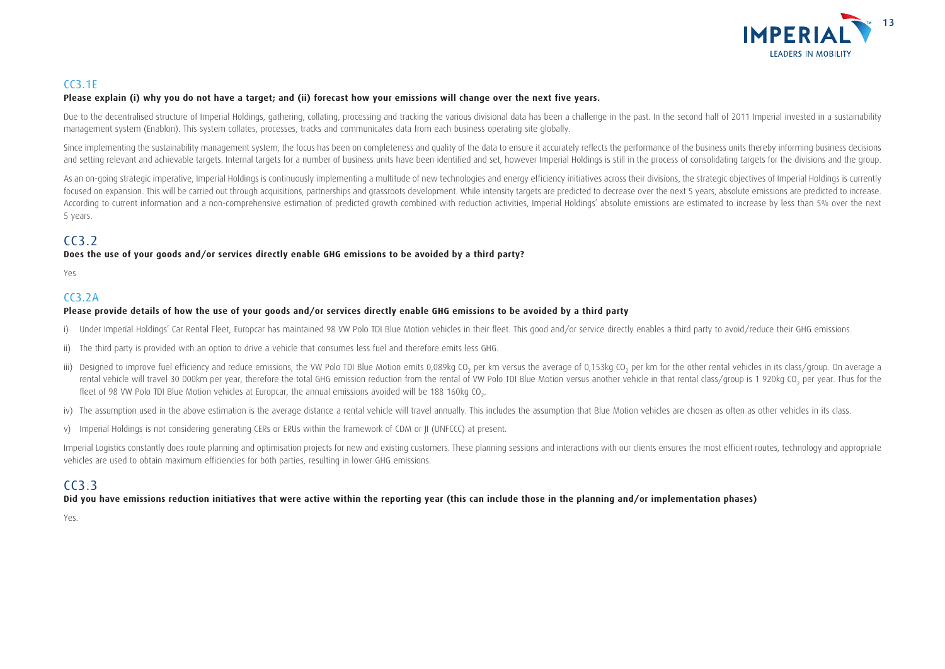

### CC3.1E

#### **Please explain (i) why you do not have a target; and (ii) forecast how your emissions will change over the next five years.**

Due to the decentralised structure of Imperial Holdings, gathering, collating, processing and tracking the various divisional data has been a challenge in the past. In the second half of 2011 Imperial invested in a sustain management system (Enablon). This system collates, processes, tracks and communicates data from each business operating site globally.

Since implementing the sustainability management system, the focus has been on completeness and quality of the data to ensure it accurately reflects the performance of the business units thereby informing business decision and setting relevant and achievable targets. Internal targets for a number of business units have been identified and set, however Imperial Holdings is still in the process of consolidating targets for the divisions and th

As an on-going strategic imperative, Imperial Holdings is continuously implementing a multitude of new technologies and energy efficiency initiatives across their divisions, the strategic objectives of Imperial Holdings is focused on expansion. This will be carried out through acquisitions, partnerships and grassroots development. While intensity targets are predicted to decrease over the next 5 years, absolute emissions are predicted to inc According to current information and a non-comprehensive estimation of predicted growth combined with reduction activities, Imperial Holdings' absolute emissions are estimated to increase by less than 5% over the next 5 years.

## $C<sub>3</sub>$

#### **Does the use of your goods and/or services directly enable GHG emissions to be avoided by a third party?**

Yes

### CC3.2A

#### **Please provide details of how the use of your goods and/or services directly enable GHG emissions to be avoided by a third party**

- i) Under Imperial Holdings' Car Rental Fleet, Europcar has maintained 98 VW Polo TDI Blue Motion vehicles in their fleet. This good and/or service directly enables a third party to avoid/reduce their GHG emissions.
- ii) The third party is provided with an option to drive a vehicle that consumes less fuel and therefore emits less GHG.
- iii) Designed to improve fuel efficiency and reduce emissions, the VW Polo TDI Blue Motion emits 0,089kg CO, per km versus the average of 0,153kg CO, per km for the other rental vehicles in its class/group. On average a rental vehicle will travel 30 000km per year, therefore the total GHG emission reduction from the rental of VW Polo TDI Blue Motion versus another vehicle in that rental class/group is 1 920kg CO<sub>2</sub> per year. Thus for the fleet of 98 VW Polo TDI Blue Motion vehicles at Europcar, the annual emissions avoided will be 188 160kg CO.
- iv) The assumption used in the above estimation is the average distance a rental vehicle will travel annually. This includes the assumption that Blue Motion vehicles are chosen as often as other vehicles in its class.
- v) Imperial Holdings is not considering generating CERs or ERUs within the framework of CDM or JI (UNFCCC) at present.

Imperial Logistics constantly does route planning and optimisation projects for new and existing customers. These planning sessions and interactions with our clients ensures the most efficient routes, technology and approp vehicles are used to obtain maximum efficiencies for both parties, resulting in lower GHG emissions.

### CC3.3

#### **Did you have emissions reduction initiatives that were active within the reporting year (this can include those in the planning and/or implementation phases)**

Yes.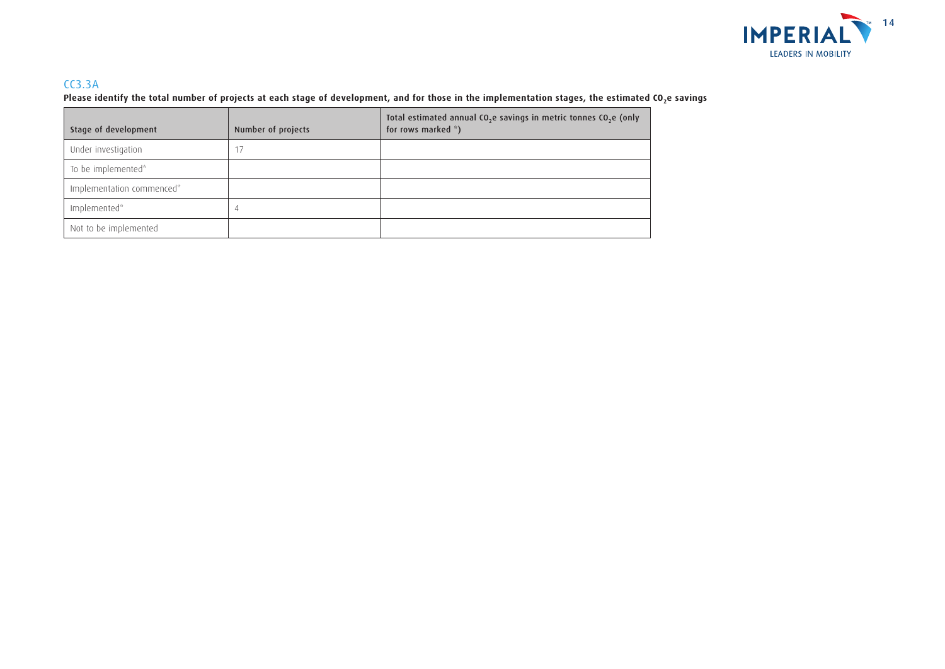

### CC3.3A

Please identify the total number of projects at each stage of development, and for those in the implementation stages, the estimated CO<sub>2</sub>e savings

| Stage of development      | Number of projects | Total estimated annual CO <sub>2</sub> e savings in metric tonnes CO <sub>2</sub> e (only<br>for rows marked *) |
|---------------------------|--------------------|-----------------------------------------------------------------------------------------------------------------|
| Under investigation       |                    |                                                                                                                 |
| To be implemented*        |                    |                                                                                                                 |
| Implementation commenced* |                    |                                                                                                                 |
| Implemented*              |                    |                                                                                                                 |
| Not to be implemented     |                    |                                                                                                                 |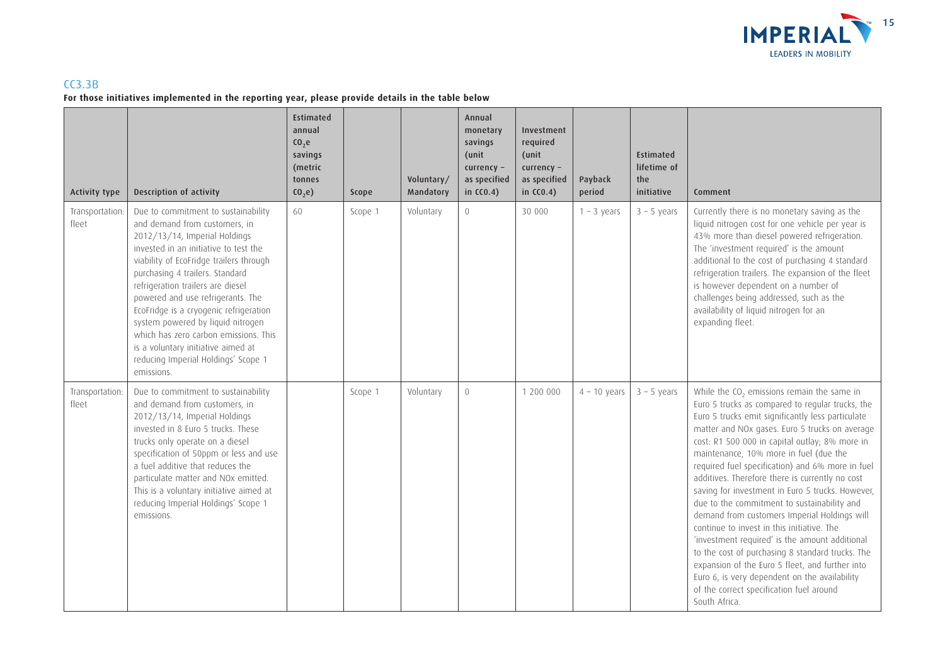

### CC3.3B **For those initiatives implemented in the reporting year, please provide details in the table below**

| <b>Activity type</b>     | Description of activity                                                                                                                                                                                                                                                                                                                                                                                                                                                                                                   | Estimated<br>annual<br>C <sub>0</sub> , <sub>e</sub><br>savings<br>(metric<br>tonnes<br>(0, e) | Scope   | Voluntary/<br>Mandatory | Annual<br>monetary<br>savings<br>(unit<br>$currency -$<br>as specified<br>in $CC0.4)$ | Investment<br>required<br>(unit<br>currency -<br>as specified<br>in $CC0.4$ ) | Payback<br>period | Estimated<br>lifetime of<br>the<br>initiative | Comment                                                                                                                                                                                                                                                                                                                                                                                                                                                                                                                                                                                                                                                                                                                                                                                                                                                                                      |
|--------------------------|---------------------------------------------------------------------------------------------------------------------------------------------------------------------------------------------------------------------------------------------------------------------------------------------------------------------------------------------------------------------------------------------------------------------------------------------------------------------------------------------------------------------------|------------------------------------------------------------------------------------------------|---------|-------------------------|---------------------------------------------------------------------------------------|-------------------------------------------------------------------------------|-------------------|-----------------------------------------------|----------------------------------------------------------------------------------------------------------------------------------------------------------------------------------------------------------------------------------------------------------------------------------------------------------------------------------------------------------------------------------------------------------------------------------------------------------------------------------------------------------------------------------------------------------------------------------------------------------------------------------------------------------------------------------------------------------------------------------------------------------------------------------------------------------------------------------------------------------------------------------------------|
| Transportation:<br>fleet | Due to commitment to sustainability<br>and demand from customers, in<br>2012/13/14, Imperial Holdings<br>invested in an initiative to test the<br>viability of EcoFridge trailers through<br>purchasing 4 trailers. Standard<br>refrigeration trailers are diesel<br>powered and use refrigerants. The<br>EcoFridge is a cryogenic refrigeration<br>system powered by liquid nitrogen<br>which has zero carbon emissions. This<br>is a voluntary initiative aimed at<br>reducing Imperial Holdings' Scope 1<br>emissions. | 60                                                                                             | Scope 1 | Voluntary               | $\overline{0}$                                                                        | 30 000                                                                        | $1 - 3$ years     | $3 - 5$ years                                 | Currently there is no monetary saving as the<br>liquid nitrogen cost for one vehicle per year is<br>43% more than diesel powered refrigeration.<br>The 'investment required' is the amount<br>additional to the cost of purchasing 4 standard<br>refrigeration trailers. The expansion of the fleet<br>is however dependent on a number of<br>challenges being addressed, such as the<br>availability of liquid nitrogen for an<br>expanding fleet.                                                                                                                                                                                                                                                                                                                                                                                                                                          |
| Transportation:<br>fleet | Due to commitment to sustainability<br>and demand from customers, in<br>2012/13/14, Imperial Holdings<br>invested in 8 Euro 5 trucks. These<br>trucks only operate on a diesel<br>specification of 50ppm or less and use<br>a fuel additive that reduces the<br>particulate matter and NOx emitted.<br>This is a voluntary initiative aimed at<br>reducing Imperial Holdings' Scope 1<br>emissions.                                                                                                                       |                                                                                                | Scope 1 | Voluntary               | $\overline{0}$                                                                        | 1 200 000                                                                     | $4 - 10$ years    | $3 - 5$ years                                 | While the CO <sub>2</sub> emissions remain the same in<br>Euro 5 trucks as compared to regular trucks, the<br>Euro 5 trucks emit significantly less particulate<br>matter and NOx gases. Euro 5 trucks on average<br>cost: R1 500 000 in capital outlay; 8% more in<br>maintenance, 10% more in fuel (due the<br>required fuel specification) and 6% more in fuel<br>additives. Therefore there is currently no cost<br>saving for investment in Euro 5 trucks. However,<br>due to the commitment to sustainability and<br>demand from customers Imperial Holdings will<br>continue to invest in this initiative. The<br>'investment required' is the amount additional<br>to the cost of purchasing 8 standard trucks. The<br>expansion of the Euro 5 fleet, and further into<br>Euro 6, is very dependent on the availability<br>of the correct specification fuel around<br>South Africa. |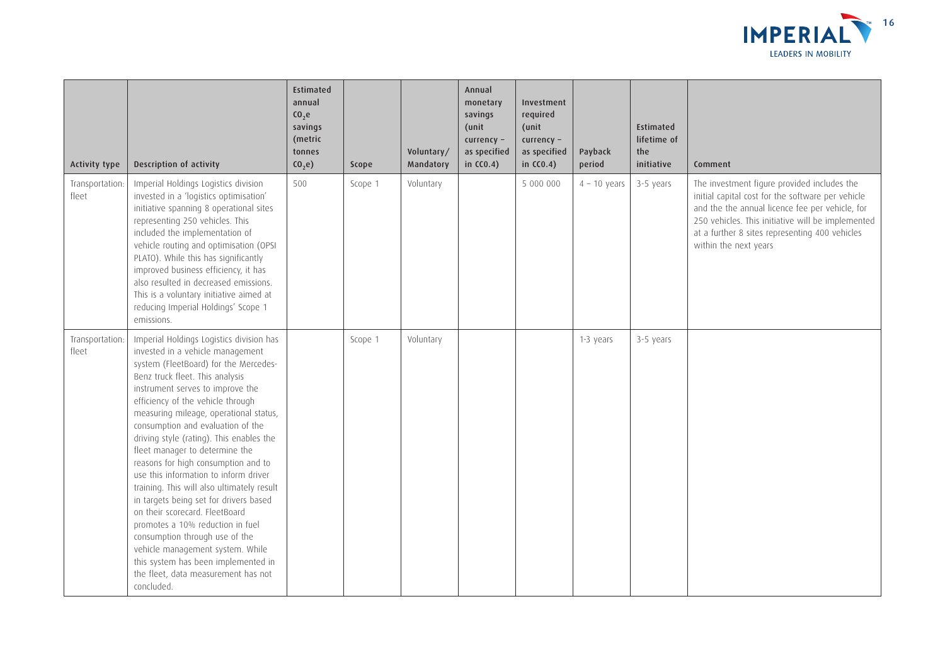

| <b>Activity type</b>     | Description of activity                                                                                                                                                                                                                                                                                                                                                                                                                                                                                                                                                                                                                                                                                                                                                                                        | Estimated<br>annual<br>C <sub>0</sub> , <sub>e</sub><br>savings<br>(metric<br>tonnes<br>CO <sub>2</sub> e | Scope   | Voluntary/<br>Mandatory | Annual<br>monetary<br>savings<br>(unit<br>currency -<br>as specified<br>in $CC0.4)$ | Investment<br>required<br>(unit<br>$curve$ ncy -<br>as specified<br>in $CC0.4)$ | Payback<br>period | <b>Estimated</b><br>lifetime of<br>the<br>initiative | Comment                                                                                                                                                                                                                                                                             |
|--------------------------|----------------------------------------------------------------------------------------------------------------------------------------------------------------------------------------------------------------------------------------------------------------------------------------------------------------------------------------------------------------------------------------------------------------------------------------------------------------------------------------------------------------------------------------------------------------------------------------------------------------------------------------------------------------------------------------------------------------------------------------------------------------------------------------------------------------|-----------------------------------------------------------------------------------------------------------|---------|-------------------------|-------------------------------------------------------------------------------------|---------------------------------------------------------------------------------|-------------------|------------------------------------------------------|-------------------------------------------------------------------------------------------------------------------------------------------------------------------------------------------------------------------------------------------------------------------------------------|
| Transportation<br>fleet  | Imperial Holdings Logistics division<br>invested in a 'logistics optimisation'<br>initiative spanning 8 operational sites<br>representing 250 vehicles. This<br>included the implementation of<br>vehicle routing and optimisation (OPSI<br>PLATO). While this has significantly<br>improved business efficiency, it has<br>also resulted in decreased emissions.<br>This is a voluntary initiative aimed at<br>reducing Imperial Holdings' Scope 1<br>emissions.                                                                                                                                                                                                                                                                                                                                              | 500                                                                                                       | Scope 1 | Voluntary               |                                                                                     | 5 000 000                                                                       | $4 - 10$ years    | 3-5 years                                            | The investment figure provided includes the<br>initial capital cost for the software per vehicle<br>and the the annual licence fee per vehicle, for<br>250 vehicles. This initiative will be implemented<br>at a further 8 sites representing 400 vehicles<br>within the next years |
| Transportation:<br>fleet | Imperial Holdings Logistics division has<br>invested in a vehicle management<br>system (FleetBoard) for the Mercedes-<br>Benz truck fleet. This analysis<br>instrument serves to improve the<br>efficiency of the vehicle through<br>measuring mileage, operational status,<br>consumption and evaluation of the<br>driving style (rating). This enables the<br>fleet manager to determine the<br>reasons for high consumption and to<br>use this information to inform driver<br>training. This will also ultimately result<br>in targets being set for drivers based<br>on their scorecard. FleetBoard<br>promotes a 10% reduction in fuel<br>consumption through use of the<br>vehicle management system. While<br>this system has been implemented in<br>the fleet, data measurement has not<br>concluded. |                                                                                                           | Scope 1 | Voluntary               |                                                                                     |                                                                                 | 1-3 years         | 3-5 years                                            |                                                                                                                                                                                                                                                                                     |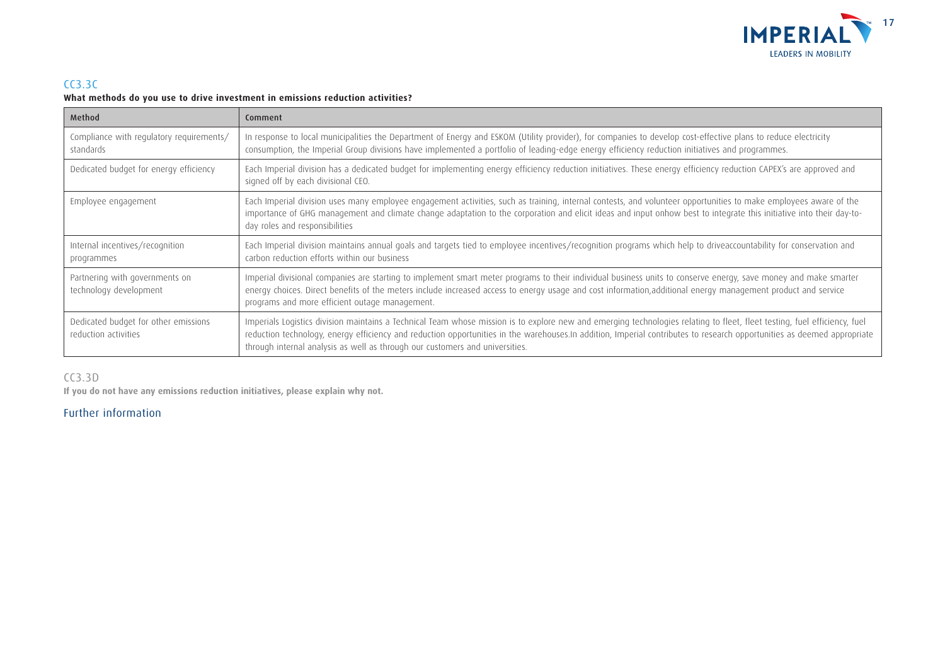

### CC3.3C **What methods do you use to drive investment in emissions reduction activities?**

| Method                                                       | Comment                                                                                                                                                                                                                                                                                                                                                                                                                              |
|--------------------------------------------------------------|--------------------------------------------------------------------------------------------------------------------------------------------------------------------------------------------------------------------------------------------------------------------------------------------------------------------------------------------------------------------------------------------------------------------------------------|
| Compliance with regulatory requirements/<br>standards        | In response to local municipalities the Department of Energy and ESKOM (Utility provider), for companies to develop cost-effective plans to reduce electricity<br>consumption, the Imperial Group divisions have implemented a portfolio of leading-edge energy efficiency reduction initiatives and programmes.                                                                                                                     |
| Dedicated budget for energy efficiency                       | Each Imperial division has a dedicated budget for implementing energy efficiency reduction initiatives. These energy efficiency reduction CAPEX's are approved and<br>signed off by each divisional CEO.                                                                                                                                                                                                                             |
| Employee engagement                                          | Each Imperial division uses many employee engagement activities, such as training, internal contests, and volunteer opportunities to make employees aware of the<br>importance of GHG management and climate change adaptation to the corporation and elicit ideas and input onhow best to integrate this initiative into their day-to-<br>day roles and responsibilities                                                            |
| Internal incentives/recognition<br>programmes                | Each Imperial division maintains annual goals and targets tied to employee incentives/recognition programs which help to driveaccountability for conservation and<br>carbon reduction efforts within our business                                                                                                                                                                                                                    |
| Partnering with governments on<br>technology development     | Imperial divisional companies are starting to implement smart meter programs to their individual business units to conserve energy, save money and make smarter<br>energy choices. Direct benefits of the meters include increased access to energy usage and cost information,additional energy management product and service<br>programs and more efficient outage management.                                                    |
| Dedicated budget for other emissions<br>reduction activities | Imperials Logistics division maintains a Technical Team whose mission is to explore new and emerging technologies relating to fleet, fleet testing, fuel efficiency, fuel<br>reduction technology, energy efficiency and reduction opportunities in the warehouses.In addition, Imperial contributes to research opportunities as deemed appropriate<br>through internal analysis as well as through our customers and universities. |

### CC3.3D

**If you do not have any emissions reduction initiatives, please explain why not.**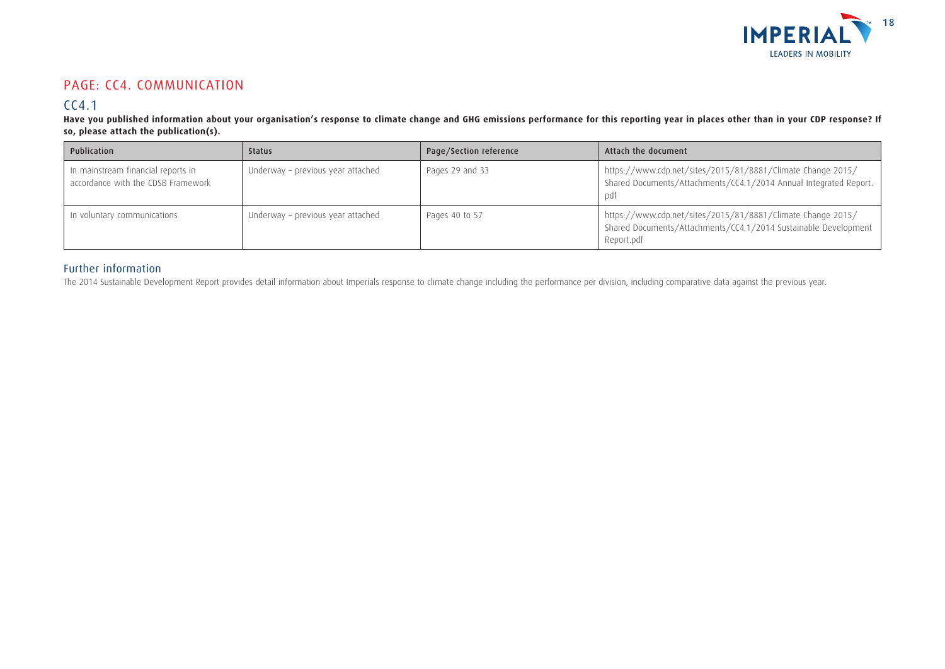

## PAGE: CC4. COMMUNICATION

## CC4.1

Have you published information about your organisation's response to climate change and GHG emissions performance for this reporting year in places other than in your CDP response? If **so, please attach the publication(s).**

| Publication                                                              | <b>Status</b>                     | Page/Section reference | Attach the document                                                                                                                          |
|--------------------------------------------------------------------------|-----------------------------------|------------------------|----------------------------------------------------------------------------------------------------------------------------------------------|
| In mainstream financial reports in<br>accordance with the CDSB Framework | Underway - previous year attached | Pages 29 and 33        | https://www.cdp.net/sites/2015/81/8881/Climate Change 2015/<br>Shared Documents/Attachments/CC4.1/2014 Annual Integrated Report.<br>pdt      |
| In voluntary communications                                              | Underway - previous year attached | Pages 40 to 57         | https://www.cdp.net/sites/2015/81/8881/Climate Change 2015/<br>Shared Documents/Attachments/CC4.1/2014 Sustainable Development<br>Report.pdf |

### Further information

The 2014 Sustainable Development Report provides detail information about Imperials response to climate change including the performance per division, including comparative data against the previous year.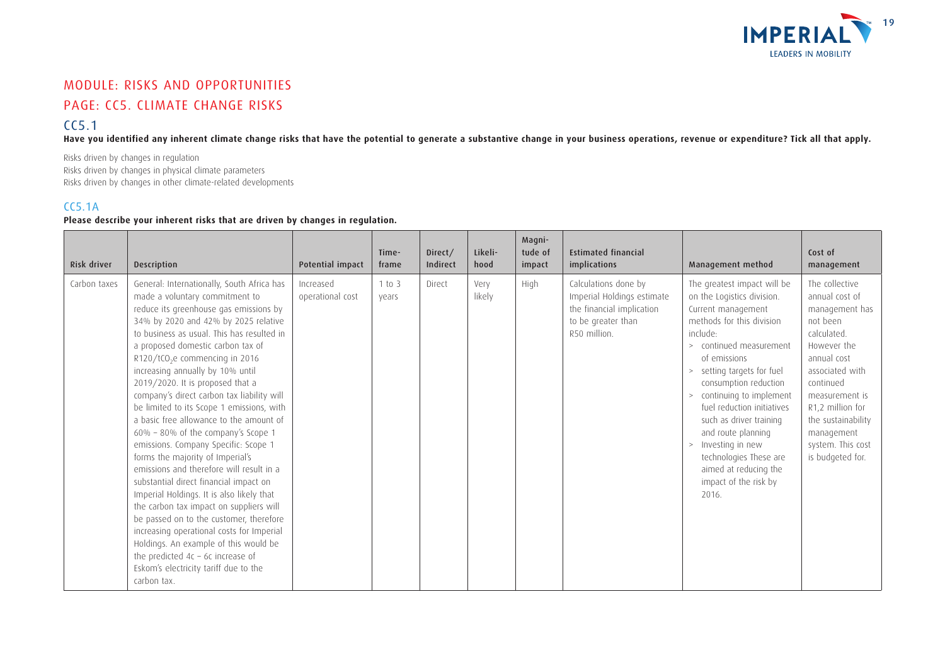

## MODULE: RISKS AND OPPORTUNITIES PAGE: CC5. CLIMATE CHANGE RISKS

### $CC5.1$

**Have you identified any inherent climate change risks that have the potential to generate a substantive change in your business operations, revenue or expenditure? Tick all that apply.**

Risks driven by changes in regulation Risks driven by changes in physical climate parameters Risks driven by changes in other climate-related developments

### CC5.1A

### **Please describe your inherent risks that are driven by changes in regulation.**

| Risk driver  | <b>Description</b>                                                                                                                                                                                                                                                                                                                                                                                                                                                                                                                                                                                                                                                                                                                                                                                                                                                                                                                                                                                                                            | Potential impact              | Time-<br>frame  | Direct/<br>Indirect | Likeli-<br>hood | Magni-<br>tude of<br>impact | <b>Estimated financial</b><br>implications                                                                            | Management method                                                                                                                                                                                                                                                                                                                                                                                                                                                   | Cost of<br>management                                                                                                                                                                                                                                          |
|--------------|-----------------------------------------------------------------------------------------------------------------------------------------------------------------------------------------------------------------------------------------------------------------------------------------------------------------------------------------------------------------------------------------------------------------------------------------------------------------------------------------------------------------------------------------------------------------------------------------------------------------------------------------------------------------------------------------------------------------------------------------------------------------------------------------------------------------------------------------------------------------------------------------------------------------------------------------------------------------------------------------------------------------------------------------------|-------------------------------|-----------------|---------------------|-----------------|-----------------------------|-----------------------------------------------------------------------------------------------------------------------|---------------------------------------------------------------------------------------------------------------------------------------------------------------------------------------------------------------------------------------------------------------------------------------------------------------------------------------------------------------------------------------------------------------------------------------------------------------------|----------------------------------------------------------------------------------------------------------------------------------------------------------------------------------------------------------------------------------------------------------------|
| Carbon taxes | General: Internationally, South Africa has<br>made a voluntary commitment to<br>reduce its greenhouse gas emissions by<br>34% by 2020 and 42% by 2025 relative<br>to business as usual. This has resulted in<br>a proposed domestic carbon tax of<br>R120/tCO <sub>2</sub> e commencing in 2016<br>increasing annually by 10% until<br>2019/2020. It is proposed that a<br>company's direct carbon tax liability will<br>be limited to its Scope 1 emissions, with<br>a basic free allowance to the amount of<br>60% - 80% of the company's Scope 1<br>emissions. Company Specific: Scope 1<br>forms the majority of Imperial's<br>emissions and therefore will result in a<br>substantial direct financial impact on<br>Imperial Holdings. It is also likely that<br>the carbon tax impact on suppliers will<br>be passed on to the customer, therefore<br>increasing operational costs for Imperial<br>Holdings. An example of this would be<br>the predicted $4c - 6c$ increase of<br>Eskom's electricity tariff due to the<br>carbon tax. | Increased<br>operational cost | 1 to 3<br>vears | Direct              | Very<br>likely  | High                        | Calculations done by<br>Imperial Holdings estimate<br>the financial implication<br>to be greater than<br>R50 million. | The greatest impact will be<br>on the Logistics division.<br>Current management<br>methods for this division<br>include:<br>continued measurement<br>$\geq$<br>of emissions<br>> setting targets for fuel<br>consumption reduction<br>continuing to implement<br>><br>fuel reduction initiatives<br>such as driver training<br>and route planning<br>Investing in new<br>$\,>$<br>technologies These are<br>aimed at reducing the<br>impact of the risk by<br>2016. | The collective<br>annual cost of<br>management has<br>not been<br>calculated.<br>However the<br>annual cost<br>associated with<br>continued<br>measurement is<br>R1,2 million for<br>the sustainability<br>management<br>system. This cost<br>is budgeted for. |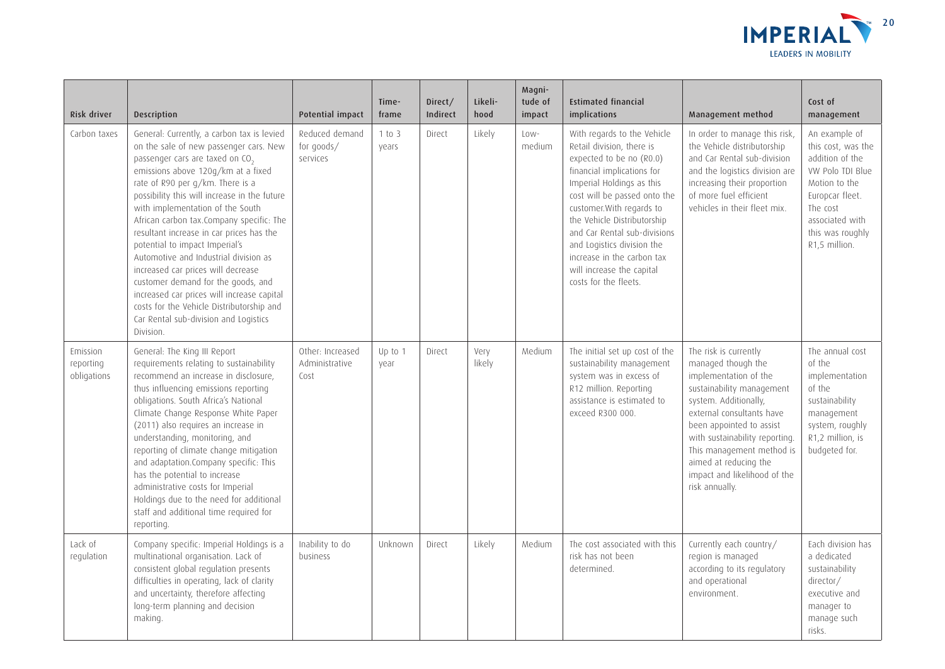

| Risk driver                          | Description                                                                                                                                                                                                                                                                                                                                                                                                                                                                                                                                                                                                                                                                                       | <b>Potential impact</b>                    | Time-<br>frame  | Direct/<br>Indirect | Likeli-<br>hood | Magni-<br>tude of<br>impact | <b>Estimated financial</b><br>implications                                                                                                                                                                                                                                                                                                                                                    | Management method                                                                                                                                                                                                                                                                                                             | Cost of<br>management                                                                                                                                                              |
|--------------------------------------|---------------------------------------------------------------------------------------------------------------------------------------------------------------------------------------------------------------------------------------------------------------------------------------------------------------------------------------------------------------------------------------------------------------------------------------------------------------------------------------------------------------------------------------------------------------------------------------------------------------------------------------------------------------------------------------------------|--------------------------------------------|-----------------|---------------------|-----------------|-----------------------------|-----------------------------------------------------------------------------------------------------------------------------------------------------------------------------------------------------------------------------------------------------------------------------------------------------------------------------------------------------------------------------------------------|-------------------------------------------------------------------------------------------------------------------------------------------------------------------------------------------------------------------------------------------------------------------------------------------------------------------------------|------------------------------------------------------------------------------------------------------------------------------------------------------------------------------------|
| Carbon taxes                         | General: Currently, a carbon tax is levied<br>on the sale of new passenger cars. New<br>passenger cars are taxed on CO <sub>2</sub><br>emissions above 120g/km at a fixed<br>rate of R90 per g/km. There is a<br>possibility this will increase in the future<br>with implementation of the South<br>African carbon tax.Company specific: The<br>resultant increase in car prices has the<br>potential to impact Imperial's<br>Automotive and Industrial division as<br>increased car prices will decrease<br>customer demand for the goods, and<br>increased car prices will increase capital<br>costs for the Vehicle Distributorship and<br>Car Rental sub-division and Logistics<br>Division. | Reduced demand<br>for goods/<br>services   | 1 to 3<br>years | Direct              | Likely          | Low-<br>medium              | With regards to the Vehicle<br>Retail division, there is<br>expected to be no (R0.0)<br>financial implications for<br>Imperial Holdings as this<br>cost will be passed onto the<br>customer. With regards to<br>the Vehicle Distributorship<br>and Car Rental sub-divisions<br>and Logistics division the<br>increase in the carbon tax<br>will increase the capital<br>costs for the fleets. | In order to manage this risk,<br>the Vehicle distributorship<br>and Car Rental sub-division<br>and the logistics division are<br>increasing their proportion<br>of more fuel efficient<br>vehicles in their fleet mix.                                                                                                        | An example of<br>this cost, was the<br>addition of the<br>VW Polo TDI Blue<br>Motion to the<br>Europcar fleet.<br>The cost<br>associated with<br>this was roughly<br>R1,5 million. |
| Emission<br>reporting<br>obligations | General: The King III Report<br>requirements relating to sustainability<br>recommend an increase in disclosure,<br>thus influencing emissions reporting<br>obligations. South Africa's National<br>Climate Change Response White Paper<br>(2011) also requires an increase in<br>understanding, monitoring, and<br>reporting of climate change mitigation<br>and adaptation.Company specific: This<br>has the potential to increase<br>administrative costs for Imperial<br>Holdings due to the need for additional<br>staff and additional time required for<br>reporting.                                                                                                                       | Other: Increased<br>Administrative<br>Cost | Up to 1<br>year | Direct              | Very<br>likely  | Medium                      | The initial set up cost of the<br>sustainability management<br>system was in excess of<br>R12 million. Reporting<br>assistance is estimated to<br>exceed R300 000.                                                                                                                                                                                                                            | The risk is currently<br>managed though the<br>implementation of the<br>sustainability management<br>system. Additionally,<br>external consultants have<br>been appointed to assist<br>with sustainability reporting.<br>This management method is<br>aimed at reducing the<br>impact and likelihood of the<br>risk annually. | The annual cost<br>of the<br>implementation<br>of the<br>sustainability<br>management<br>system, roughly<br>R1,2 million, is<br>budgeted for.                                      |
| Lack of<br>regulation                | Company specific: Imperial Holdings is a<br>multinational organisation. Lack of<br>consistent global regulation presents<br>difficulties in operating, lack of clarity<br>and uncertainty, therefore affecting<br>long-term planning and decision<br>making.                                                                                                                                                                                                                                                                                                                                                                                                                                      | Inability to do<br>business                | Unknown         | Direct              | Likely          | Medium                      | The cost associated with this<br>risk has not been<br>determined.                                                                                                                                                                                                                                                                                                                             | Currently each country/<br>region is managed<br>according to its regulatory<br>and operational<br>environment.                                                                                                                                                                                                                | Each division has<br>a dedicated<br>sustainability<br>director/<br>executive and<br>manager to<br>manage such<br>risks.                                                            |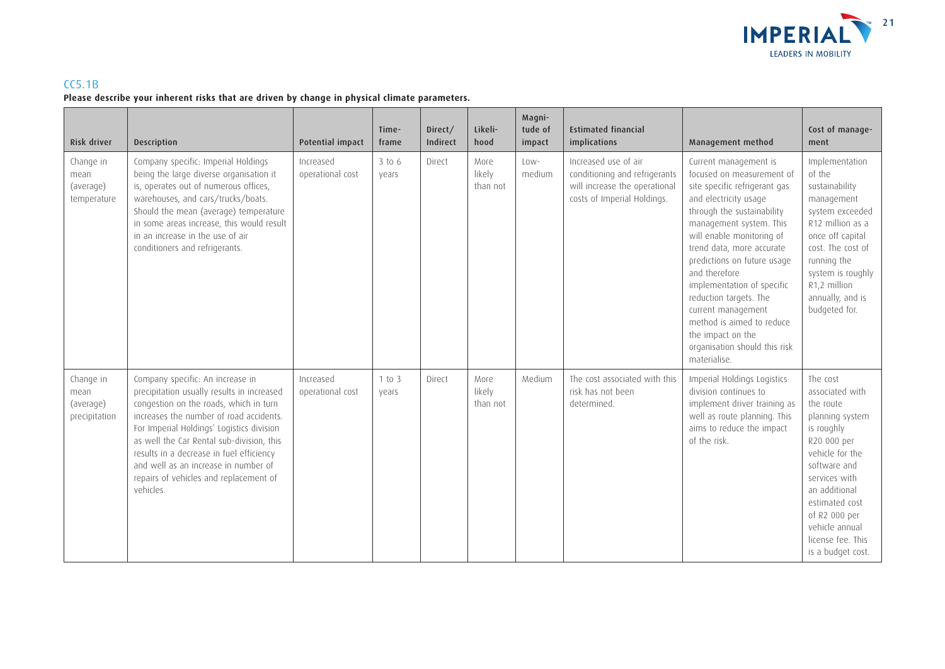

### CC5.1B

### **Please describe your inherent risks that are driven by change in physical climate parameters.**

| Risk driver                                     | <b>Description</b>                                                                                                                                                                                                                                                                                                                                                                                       | Potential impact              | Time-<br>frame    | Direct/<br>Indirect | Likeli-<br>hood            | Magni-<br>tude of<br>impact | <b>Estimated financial</b><br>implications                                                                            | Management method                                                                                                                                                                                                                                                                                                                                                                                                                                                | Cost of manage-<br>ment                                                                                                                                                                                                                                      |
|-------------------------------------------------|----------------------------------------------------------------------------------------------------------------------------------------------------------------------------------------------------------------------------------------------------------------------------------------------------------------------------------------------------------------------------------------------------------|-------------------------------|-------------------|---------------------|----------------------------|-----------------------------|-----------------------------------------------------------------------------------------------------------------------|------------------------------------------------------------------------------------------------------------------------------------------------------------------------------------------------------------------------------------------------------------------------------------------------------------------------------------------------------------------------------------------------------------------------------------------------------------------|--------------------------------------------------------------------------------------------------------------------------------------------------------------------------------------------------------------------------------------------------------------|
| Change in<br>mean<br>(average)<br>temperature   | Company specific: Imperial Holdings<br>being the large diverse organisation it<br>is, operates out of numerous offices,<br>warehouses, and cars/trucks/boats.<br>Should the mean (average) temperature<br>in some areas increase, this would result<br>in an increase in the use of air<br>conditioners and refrigerants.                                                                                | Increased<br>operational cost | $3$ to 6<br>vears | Direct              | More<br>likely<br>than not | Low-<br>medium              | Increased use of air<br>conditioning and refrigerants<br>will increase the operational<br>costs of Imperial Holdings. | Current management is<br>focused on measurement of<br>site specific refrigerant gas<br>and electricity usage<br>through the sustainability<br>management system. This<br>will enable monitoring of<br>trend data, more accurate<br>predictions on future usage<br>and therefore<br>implementation of specific<br>reduction targets. The<br>current management<br>method is aimed to reduce<br>the impact on the<br>organisation should this risk<br>materialise. | Implementation<br>of the<br>sustainability<br>management<br>system exceeded<br>R12 million as a<br>once off capital<br>cost. The cost of<br>running the<br>system is roughly<br>R1,2 million<br>annually, and is<br>budgeted for.                            |
| Change in<br>mean<br>(average)<br>precipitation | Company specific: An increase in<br>precipitation usually results in increased<br>congestion on the roads, which in turn<br>increases the number of road accidents.<br>For Imperial Holdings' Logistics division<br>as well the Car Rental sub-division, this<br>results in a decrease in fuel efficiency<br>and well as an increase in number of<br>repairs of vehicles and replacement of<br>vehicles. | Increased<br>operational cost | 1 to 3<br>vears   | Direct              | More<br>likely<br>than not | Medium                      | The cost associated with this<br>risk has not been<br>determined.                                                     | Imperial Holdings Logistics<br>division continues to<br>implement driver training as<br>well as route planning. This<br>aims to reduce the impact<br>of the risk.                                                                                                                                                                                                                                                                                                | The cost<br>associated with<br>the route<br>planning system<br>is roughly<br>R20 000 per<br>vehicle for the<br>software and<br>services with<br>an additional<br>estimated cost<br>of R2 000 per<br>vehicle annual<br>license fee. This<br>is a budget cost. |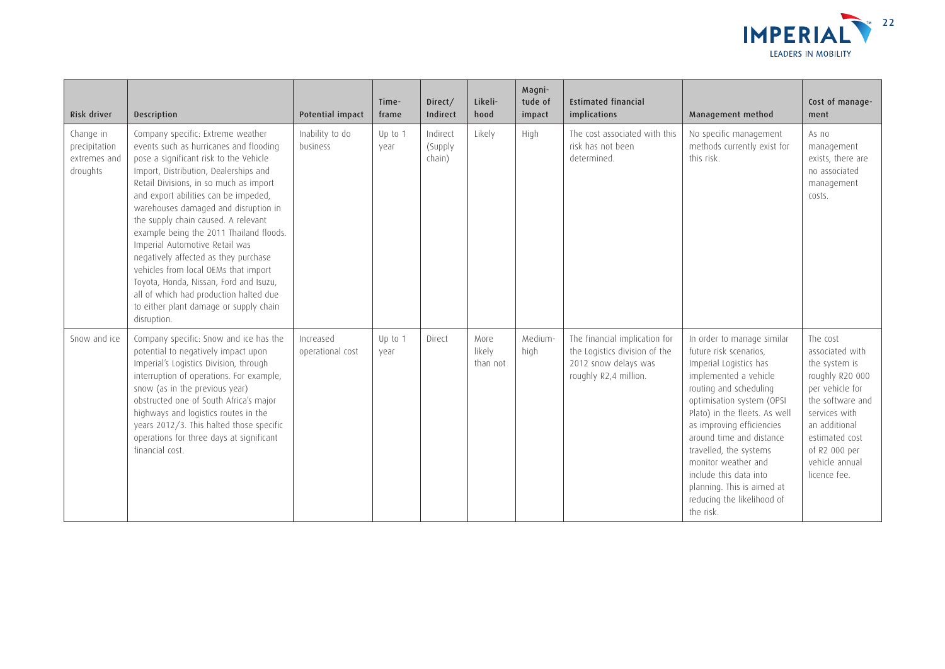

| Risk driver                                            | Description                                                                                                                                                                                                                                                                                                                                                                                                                                                                                                                                                                                                                               | Potential impact              | Time-<br>frame  | Direct/<br>Indirect           | Likeli-<br>hood            | Magni-<br>tude of<br>impact | <b>Estimated financial</b><br>implications                                                                      | Management method                                                                                                                                                                                                                                                                                                                                                                                            | Cost of manage-<br>ment                                                                                                                                                                                       |
|--------------------------------------------------------|-------------------------------------------------------------------------------------------------------------------------------------------------------------------------------------------------------------------------------------------------------------------------------------------------------------------------------------------------------------------------------------------------------------------------------------------------------------------------------------------------------------------------------------------------------------------------------------------------------------------------------------------|-------------------------------|-----------------|-------------------------------|----------------------------|-----------------------------|-----------------------------------------------------------------------------------------------------------------|--------------------------------------------------------------------------------------------------------------------------------------------------------------------------------------------------------------------------------------------------------------------------------------------------------------------------------------------------------------------------------------------------------------|---------------------------------------------------------------------------------------------------------------------------------------------------------------------------------------------------------------|
| Change in<br>precipitation<br>extremes and<br>droughts | Company specific: Extreme weather<br>events such as hurricanes and flooding<br>pose a significant risk to the Vehicle<br>Import, Distribution, Dealerships and<br>Retail Divisions, in so much as import<br>and export abilities can be impeded,<br>warehouses damaged and disruption in<br>the supply chain caused. A relevant<br>example being the 2011 Thailand floods.<br>Imperial Automotive Retail was<br>negatively affected as they purchase<br>vehicles from local OEMs that import<br>Toyota, Honda, Nissan, Ford and Isuzu,<br>all of which had production halted due<br>to either plant damage or supply chain<br>disruption. | Inability to do<br>business   | Up to 1<br>vear | Indirect<br>(Supply<br>chain) | Likely                     | High                        | The cost associated with this<br>risk has not been<br>determined.                                               | No specific management<br>methods currently exist for<br>this risk.                                                                                                                                                                                                                                                                                                                                          | As no<br>management<br>exists, there are<br>no associated<br>management<br>costs.                                                                                                                             |
| Snow and ice                                           | Company specific: Snow and ice has the<br>potential to negatively impact upon<br>Imperial's Logistics Division, through<br>interruption of operations. For example,<br>snow (as in the previous year)<br>obstructed one of South Africa's major<br>highways and logistics routes in the<br>years 2012/3. This halted those specific<br>operations for three days at significant<br>financial cost.                                                                                                                                                                                                                                        | Increased<br>operational cost | Up to 1<br>vear | Direct                        | More<br>likely<br>than not | Medium-<br>high             | The financial implication for<br>the Logistics division of the<br>2012 snow delays was<br>roughly R2,4 million. | In order to manage similar<br>future risk scenarios,<br>Imperial Logistics has<br>implemented a vehicle<br>routing and scheduling<br>optimisation system (OPSI<br>Plato) in the fleets. As well<br>as improving efficiencies<br>around time and distance<br>travelled, the systems<br>monitor weather and<br>include this data into<br>planning. This is aimed at<br>reducing the likelihood of<br>the risk. | The cost<br>associated with<br>the system is<br>roughly R20 000<br>per vehicle for<br>the software and<br>services with<br>an additional<br>estimated cost<br>of R2 000 per<br>vehicle annual<br>licence fee. |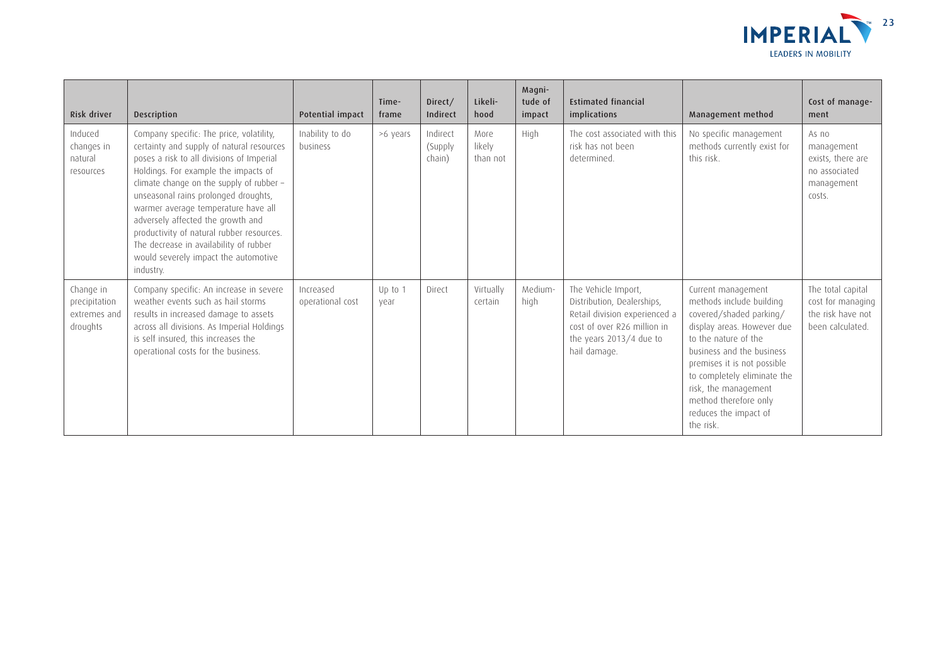

| Risk driver                                            | <b>Description</b>                                                                                                                                                                                                                                                                                                                                                                                                                                                                     | Potential impact              | Time-<br>frame  | Direct/<br>Indirect           | Likeli-<br>hood            | Magni-<br>tude of<br>impact | <b>Estimated financial</b><br>implications                                                                                                                   | Management method                                                                                                                                                                                                                                                                                                 | Cost of manage-<br>ment                                                           |
|--------------------------------------------------------|----------------------------------------------------------------------------------------------------------------------------------------------------------------------------------------------------------------------------------------------------------------------------------------------------------------------------------------------------------------------------------------------------------------------------------------------------------------------------------------|-------------------------------|-----------------|-------------------------------|----------------------------|-----------------------------|--------------------------------------------------------------------------------------------------------------------------------------------------------------|-------------------------------------------------------------------------------------------------------------------------------------------------------------------------------------------------------------------------------------------------------------------------------------------------------------------|-----------------------------------------------------------------------------------|
| Induced<br>changes in<br>natural<br>resources          | Company specific: The price, volatility,<br>certainty and supply of natural resources<br>poses a risk to all divisions of Imperial<br>Holdings. For example the impacts of<br>climate change on the supply of rubber -<br>unseasonal rains prolonged droughts,<br>warmer average temperature have all<br>adversely affected the growth and<br>productivity of natural rubber resources.<br>The decrease in availability of rubber<br>would severely impact the automotive<br>industry. | Inability to do<br>business   | >6 years        | Indirect<br>(Supply<br>chain) | More<br>likely<br>than not | High                        | The cost associated with this<br>risk has not been<br>determined.                                                                                            | No specific management<br>methods currently exist for<br>this risk.                                                                                                                                                                                                                                               | As no<br>management<br>exists, there are<br>no associated<br>management<br>costs. |
| Change in<br>precipitation<br>extremes and<br>droughts | Company specific: An increase in severe<br>weather events such as hail storms<br>results in increased damage to assets<br>across all divisions. As Imperial Holdings<br>is self insured, this increases the<br>operational costs for the business.                                                                                                                                                                                                                                     | Increased<br>operational cost | Up to 1<br>vear | Direct                        | Virtually<br>certain       | Medium-<br>high             | The Vehicle Import,<br>Distribution, Dealerships,<br>Retail division experienced a<br>cost of over R26 million in<br>the years 2013/4 due to<br>hail damage. | Current management<br>methods include building<br>covered/shaded parking/<br>display areas. However due<br>to the nature of the<br>business and the business<br>premises it is not possible<br>to completely eliminate the<br>risk, the management<br>method therefore only<br>reduces the impact of<br>the risk. | The total capital<br>cost for managing<br>the risk have not<br>been calculated.   |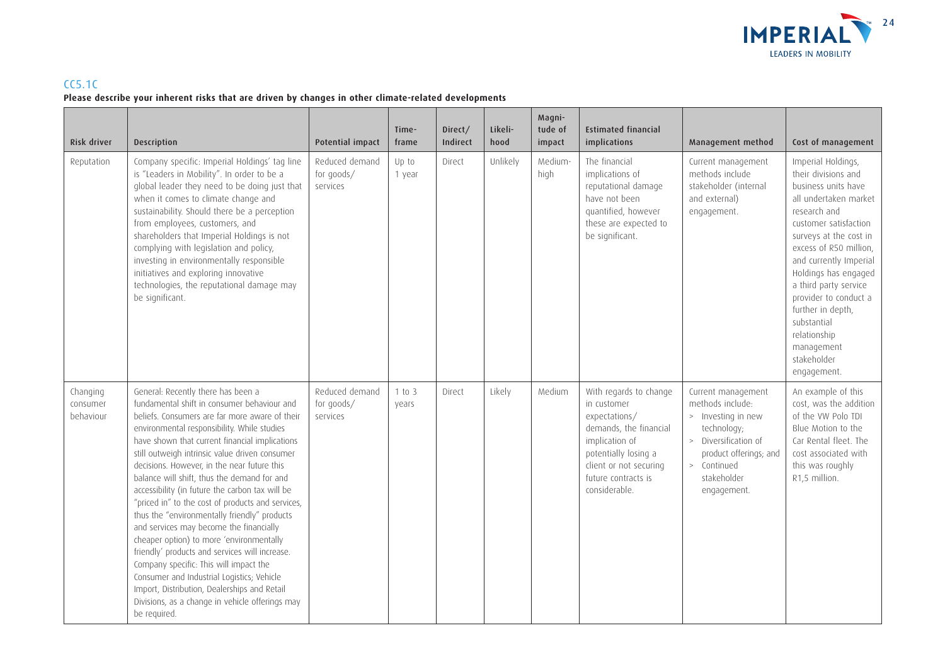

### CC5.1C **Please describe your inherent risks that are driven by changes in other climate-related developments**

| Risk driver                       | Description                                                                                                                                                                                                                                                                                                                                                                                                                                                                                                                                                                                                                                                                                                                                                                                                                                                                                      | <b>Potential impact</b>                  | Time-<br>frame  | Direct/<br>Indirect | Likeli-<br>hood | Magni-<br>tude of<br>impact | <b>Estimated financial</b><br>implications                                                                                                                                                   | Management method                                                                                                                                                          | Cost of management                                                                                                                                                                                                                                                                                                                                                                         |
|-----------------------------------|--------------------------------------------------------------------------------------------------------------------------------------------------------------------------------------------------------------------------------------------------------------------------------------------------------------------------------------------------------------------------------------------------------------------------------------------------------------------------------------------------------------------------------------------------------------------------------------------------------------------------------------------------------------------------------------------------------------------------------------------------------------------------------------------------------------------------------------------------------------------------------------------------|------------------------------------------|-----------------|---------------------|-----------------|-----------------------------|----------------------------------------------------------------------------------------------------------------------------------------------------------------------------------------------|----------------------------------------------------------------------------------------------------------------------------------------------------------------------------|--------------------------------------------------------------------------------------------------------------------------------------------------------------------------------------------------------------------------------------------------------------------------------------------------------------------------------------------------------------------------------------------|
| Reputation                        | Company specific: Imperial Holdings' tag line<br>is "Leaders in Mobility". In order to be a<br>global leader they need to be doing just that<br>when it comes to climate change and<br>sustainability. Should there be a perception<br>from employees, customers, and<br>shareholders that Imperial Holdings is not<br>complying with legislation and policy,<br>investing in environmentally responsible<br>initiatives and exploring innovative<br>technologies, the reputational damage may<br>be significant.                                                                                                                                                                                                                                                                                                                                                                                | Reduced demand<br>for goods/<br>services | Up to<br>1 year | Direct              | Unlikely        | Medium-<br>high             | The financial<br>implications of<br>reputational damage<br>have not been<br>quantified, however<br>these are expected to<br>be significant.                                                  | Current management<br>methods include<br>stakeholder (internal<br>and external)<br>engagement.                                                                             | Imperial Holdings,<br>their divisions and<br>business units have<br>all undertaken market<br>research and<br>customer satisfaction<br>surveys at the cost in<br>excess of R50 million,<br>and currently Imperial<br>Holdings has engaged<br>a third party service<br>provider to conduct a<br>further in depth,<br>substantial<br>relationship<br>management<br>stakeholder<br>engagement. |
| Changing<br>consumer<br>behaviour | General: Recently there has been a<br>fundamental shift in consumer behaviour and<br>beliefs. Consumers are far more aware of their<br>environmental responsibility. While studies<br>have shown that current financial implications<br>still outweigh intrinsic value driven consumer<br>decisions. However, in the near future this<br>balance will shift, thus the demand for and<br>accessibility (in future the carbon tax will be<br>"priced in" to the cost of products and services,<br>thus the "environmentally friendly" products<br>and services may become the financially<br>cheaper option) to more 'environmentally<br>friendly' products and services will increase.<br>Company specific: This will impact the<br>Consumer and Industrial Logistics; Vehicle<br>Import, Distribution, Dealerships and Retail<br>Divisions, as a change in vehicle offerings may<br>be required. | Reduced demand<br>for goods/<br>services | 1 to 3<br>vears | Direct              | Likely          | Medium                      | With regards to change<br>in customer<br>expectations/<br>demands, the financial<br>implication of<br>potentially losing a<br>client or not securing<br>future contracts is<br>considerable. | Current management<br>methods include:<br>> Investing in new<br>technology;<br>> Diversification of<br>product offerings; and<br>> Continued<br>stakeholder<br>engagement. | An example of this<br>cost, was the addition<br>of the VW Polo TDI<br>Blue Motion to the<br>Car Rental fleet. The<br>cost associated with<br>this was roughly<br>R1,5 million.                                                                                                                                                                                                             |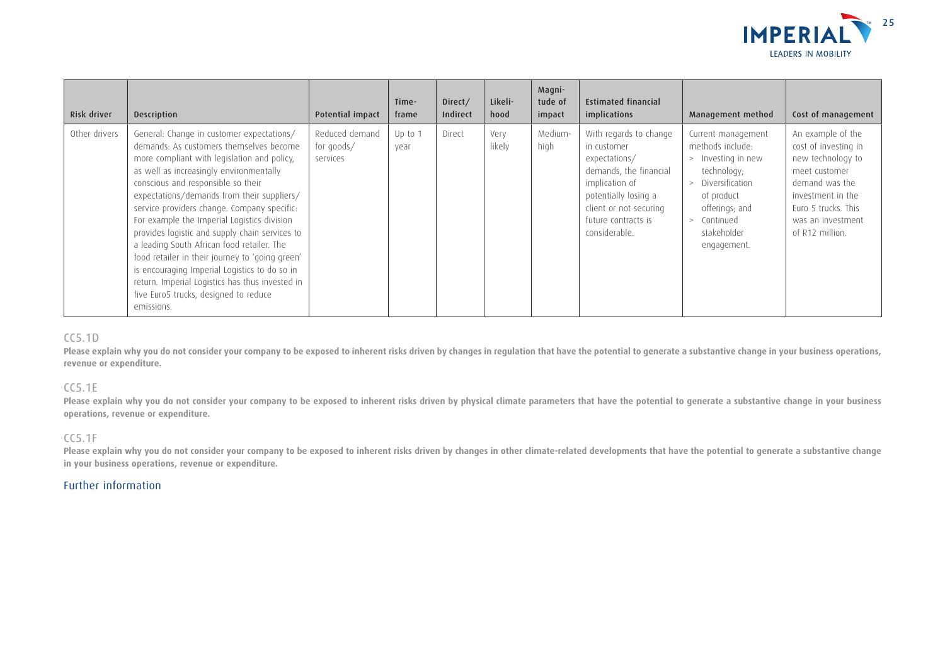

| Risk driver   | Description                                                                                                                                                                                                                                                                                                                                                                                                                                                                                                                                                                                                                                                                    | Potential impact                         | Time-<br>frame  | Direct/<br>Indirect | Likeli-<br>hood | Magni-<br>tude of<br>impact | <b>Estimated financial</b><br>implications                                                                                                                                                   | Management method                                                                                                                                                                 | Cost of management                                                                                                                                                                    |
|---------------|--------------------------------------------------------------------------------------------------------------------------------------------------------------------------------------------------------------------------------------------------------------------------------------------------------------------------------------------------------------------------------------------------------------------------------------------------------------------------------------------------------------------------------------------------------------------------------------------------------------------------------------------------------------------------------|------------------------------------------|-----------------|---------------------|-----------------|-----------------------------|----------------------------------------------------------------------------------------------------------------------------------------------------------------------------------------------|-----------------------------------------------------------------------------------------------------------------------------------------------------------------------------------|---------------------------------------------------------------------------------------------------------------------------------------------------------------------------------------|
| Other drivers | General: Change in customer expectations/<br>demands: As customers themselves become<br>more compliant with legislation and policy,<br>as well as increasingly environmentally<br>conscious and responsible so their<br>expectations/demands from their suppliers/<br>service providers change. Company specific:<br>For example the Imperial Logistics division<br>provides logistic and supply chain services to<br>a leading South African food retailer. The<br>food retailer in their journey to 'going green'<br>is encouraging Imperial Logistics to do so in<br>return. Imperial Logistics has thus invested in<br>five Euro5 trucks, designed to reduce<br>emissions. | Reduced demand<br>for goods/<br>services | Up to 1<br>vear | Direct              | Very<br>likely  | Medium-<br>high             | With regards to change<br>in customer<br>expectations/<br>demands, the financial<br>implication of<br>potentially losing a<br>client or not securing<br>future contracts is<br>considerable. | Current management<br>methods include:<br>Investing in new<br>technology;<br>Diversification<br>of product<br>offerings; and<br>Continued<br>$\geq$<br>stakeholder<br>engagement. | An example of the<br>cost of investing in<br>new technology to<br>meet customer<br>demand was the<br>investment in the<br>Euro 5 trucks. This<br>was an investment<br>of R12 million. |

### CC5.1D

Please explain why you do not consider your company to be exposed to inherent risks driven by changes in regulation that have the potential to generate a substantive change in your business operations, **revenue or expenditure.**

#### CC5.1E

**Please explain why you do not consider your company to be exposed to inherent risks driven by physical climate parameters that have the potential to generate a substantive change in your business operations, revenue or expenditure.**

#### CC5.1F

Please explain why you do not consider your company to be exposed to inherent risks driven by changes in other climate-related developments that have the potential to generate a substantive change **in your business operations, revenue or expenditure.**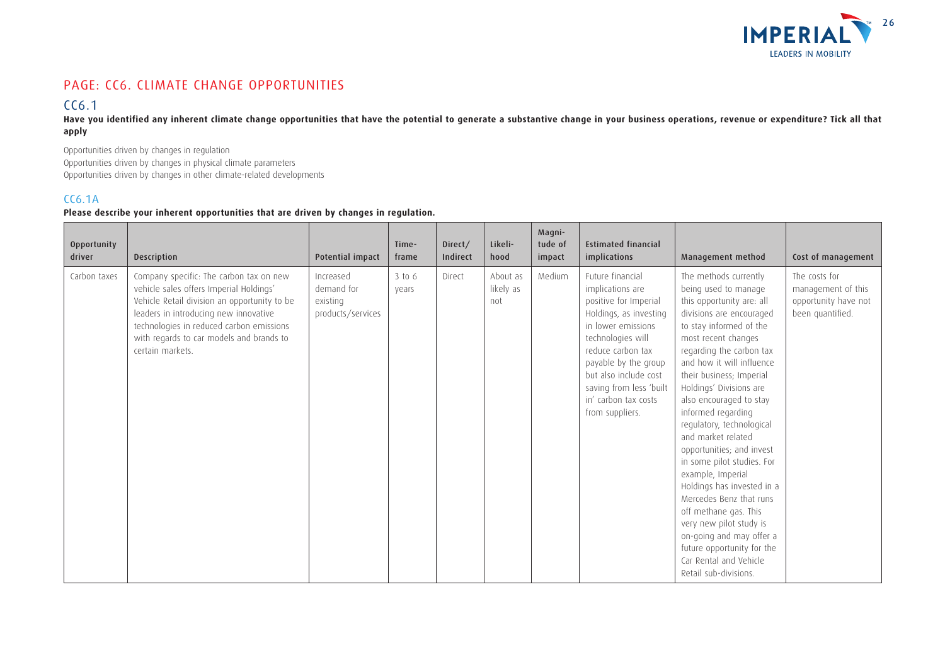

## PAGE: CC6. CLIMATE CHANGE OPPORTUNITIES

## CC6.1

**Have you identified any inherent climate change opportunities that have the potential to generate a substantive change in your business operations, revenue or expenditure? Tick all that apply**

Opportunities driven by changes in regulation Opportunities driven by changes in physical climate parameters Opportunities driven by changes in other climate-related developments

### CC6.1A

### **Please describe your inherent opportunities that are driven by changes in regulation.**

| Opportunity<br>driver | <b>Description</b>                                                                                                                                                                                                                                                                      | Potential impact                                         | Time-<br>frame  | Direct/<br><b>Indirect</b> | Likeli-<br>hood              | Magni-<br>tude of<br>impact | <b>Estimated financial</b><br>implications                                                                                                                                                                                                                                     | Management method                                                                                                                                                                                                                                                                                                                                                                                                                                                                                                                                                                                                                                                                      | Cost of management                                                              |
|-----------------------|-----------------------------------------------------------------------------------------------------------------------------------------------------------------------------------------------------------------------------------------------------------------------------------------|----------------------------------------------------------|-----------------|----------------------------|------------------------------|-----------------------------|--------------------------------------------------------------------------------------------------------------------------------------------------------------------------------------------------------------------------------------------------------------------------------|----------------------------------------------------------------------------------------------------------------------------------------------------------------------------------------------------------------------------------------------------------------------------------------------------------------------------------------------------------------------------------------------------------------------------------------------------------------------------------------------------------------------------------------------------------------------------------------------------------------------------------------------------------------------------------------|---------------------------------------------------------------------------------|
| Carbon taxes          | Company specific: The carbon tax on new<br>vehicle sales offers Imperial Holdings'<br>Vehicle Retail division an opportunity to be<br>leaders in introducing new innovative<br>technologies in reduced carbon emissions<br>with regards to car models and brands to<br>certain markets. | Increased<br>demand for<br>existing<br>products/services | 3 to 6<br>vears | Direct                     | About as<br>likely as<br>not | Medium                      | Future financial<br>implications are<br>positive for Imperial<br>Holdings, as investing<br>in lower emissions<br>technologies will<br>reduce carbon tax<br>payable by the group<br>but also include cost<br>saving from less 'built<br>in' carbon tax costs<br>from suppliers. | The methods currently<br>being used to manage<br>this opportunity are: all<br>divisions are encouraged<br>to stay informed of the<br>most recent changes<br>regarding the carbon tax<br>and how it will influence<br>their business; Imperial<br>Holdings' Divisions are<br>also encouraged to stay<br>informed regarding<br>regulatory, technological<br>and market related<br>opportunities; and invest<br>in some pilot studies. For<br>example, Imperial<br>Holdings has invested in a<br>Mercedes Benz that runs<br>off methane gas. This<br>very new pilot study is<br>on-going and may offer a<br>future opportunity for the<br>Car Rental and Vehicle<br>Retail sub-divisions. | The costs for<br>management of this<br>opportunity have not<br>been quantified. |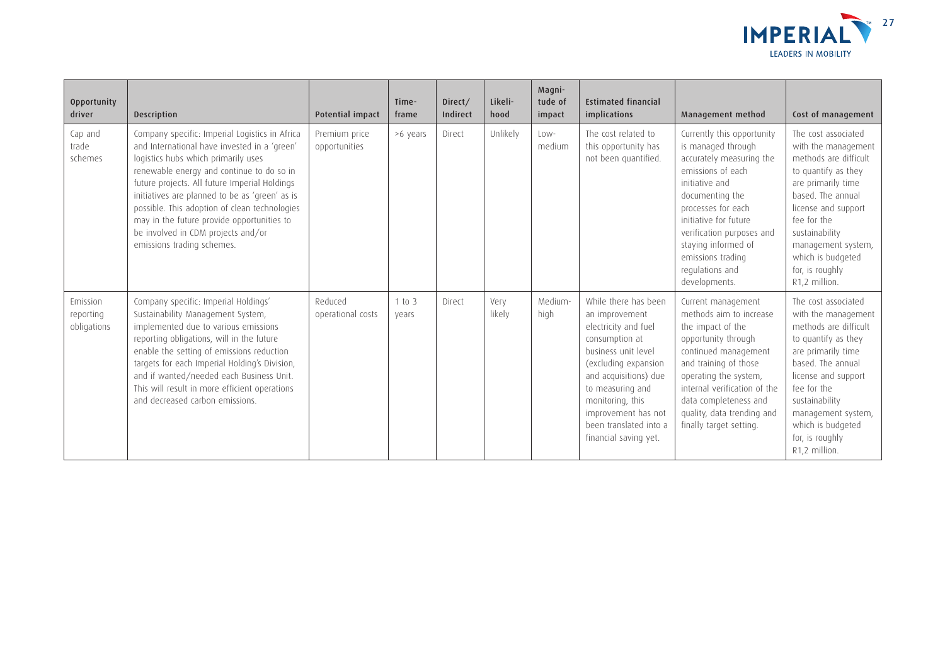

| Opportunity<br>driver                | <b>Description</b>                                                                                                                                                                                                                                                                                                                                                                                                                                       | <b>Potential impact</b>        | Time-<br>frame  | Direct/<br>Indirect | Likeli-<br>hood | Magni-<br>tude of<br>impact | <b>Estimated financial</b><br>implications                                                                                                                                                                                                                                 | Management method                                                                                                                                                                                                                                                                                  | Cost of management                                                                                                                                                                                                                                                           |
|--------------------------------------|----------------------------------------------------------------------------------------------------------------------------------------------------------------------------------------------------------------------------------------------------------------------------------------------------------------------------------------------------------------------------------------------------------------------------------------------------------|--------------------------------|-----------------|---------------------|-----------------|-----------------------------|----------------------------------------------------------------------------------------------------------------------------------------------------------------------------------------------------------------------------------------------------------------------------|----------------------------------------------------------------------------------------------------------------------------------------------------------------------------------------------------------------------------------------------------------------------------------------------------|------------------------------------------------------------------------------------------------------------------------------------------------------------------------------------------------------------------------------------------------------------------------------|
| Cap and<br>trade<br>schemes          | Company specific: Imperial Logistics in Africa<br>and International have invested in a 'green'<br>logistics hubs which primarily uses<br>renewable energy and continue to do so in<br>future projects. All future Imperial Holdings<br>initiatives are planned to be as 'green' as is<br>possible. This adoption of clean technologies<br>may in the future provide opportunities to<br>be involved in CDM projects and/or<br>emissions trading schemes. | Premium price<br>opportunities | >6 years        | Direct              | Unlikely        | $Low-$<br>medium            | The cost related to<br>this opportunity has<br>not been quantified.                                                                                                                                                                                                        | Currently this opportunity<br>is managed through<br>accurately measuring the<br>emissions of each<br>initiative and<br>documenting the<br>processes for each<br>initiative for future<br>verification purposes and<br>staying informed of<br>emissions trading<br>regulations and<br>developments. | The cost associated<br>with the management<br>methods are difficult<br>to quantify as they<br>are primarily time<br>based. The annual<br>license and support<br>fee for the<br>sustainability<br>management system,<br>which is budgeted<br>for, is roughly<br>R1,2 million. |
| Emission<br>reporting<br>obligations | Company specific: Imperial Holdings'<br>Sustainability Management System,<br>implemented due to various emissions<br>reporting obligations, will in the future<br>enable the setting of emissions reduction<br>targets for each Imperial Holding's Division,<br>and if wanted/needed each Business Unit.<br>This will result in more efficient operations<br>and decreased carbon emissions.                                                             | Reduced<br>operational costs   | 1 to 3<br>vears | Direct              | Very<br>likely  | Medium-<br>high             | While there has been<br>an improvement<br>electricity and fuel<br>consumption at<br>business unit level<br>(excluding expansion<br>and acquisitions) due<br>to measuring and<br>monitoring, this<br>improvement has not<br>been translated into a<br>financial saving yet. | Current management<br>methods aim to increase<br>the impact of the<br>opportunity through<br>continued management<br>and training of those<br>operating the system,<br>internal verification of the<br>data completeness and<br>quality, data trending and<br>finally target setting.              | The cost associated<br>with the management<br>methods are difficult<br>to quantify as they<br>are primarily time<br>based. The annual<br>license and support<br>fee for the<br>sustainability<br>management system,<br>which is budgeted<br>for, is roughly<br>R1,2 million. |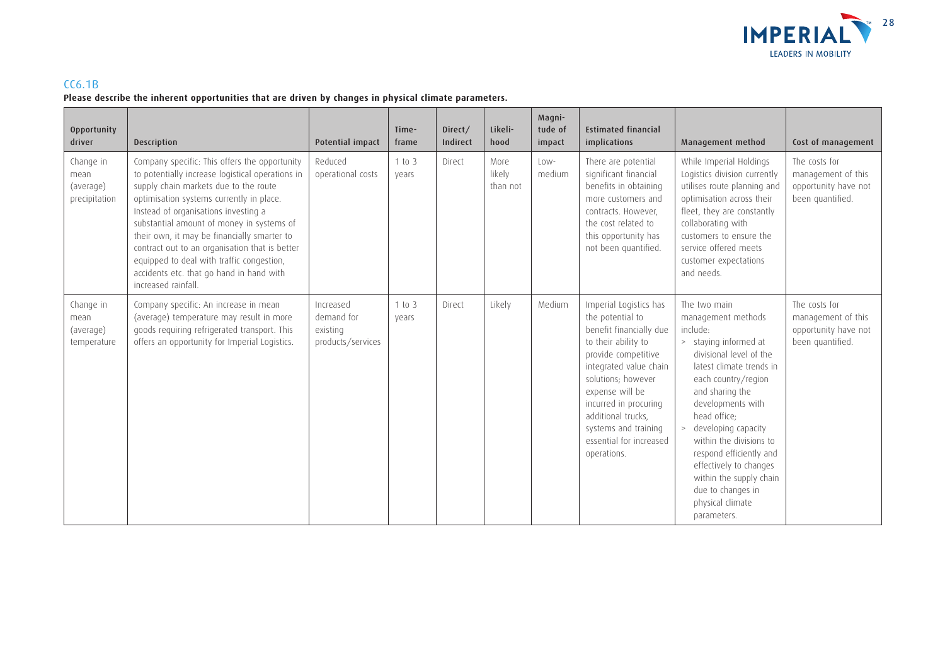

### CC6.1B

### **Please describe the inherent opportunities that are driven by changes in physical climate parameters.**

| Opportunity<br>driver                           | Description                                                                                                                                                                                                                                                                                                                                                                                                                                                                                  | Potential impact                                         | Time-<br>frame  | Direct/<br>Indirect | Likeli-<br>hood            | Magni-<br>tude of<br>impact | <b>Estimated financial</b><br>implications                                                                                                                                                                                                                                                              | Management method                                                                                                                                                                                                                                                                                                                                                                                       | Cost of management                                                              |
|-------------------------------------------------|----------------------------------------------------------------------------------------------------------------------------------------------------------------------------------------------------------------------------------------------------------------------------------------------------------------------------------------------------------------------------------------------------------------------------------------------------------------------------------------------|----------------------------------------------------------|-----------------|---------------------|----------------------------|-----------------------------|---------------------------------------------------------------------------------------------------------------------------------------------------------------------------------------------------------------------------------------------------------------------------------------------------------|---------------------------------------------------------------------------------------------------------------------------------------------------------------------------------------------------------------------------------------------------------------------------------------------------------------------------------------------------------------------------------------------------------|---------------------------------------------------------------------------------|
| Change in<br>mean<br>(average)<br>precipitation | Company specific: This offers the opportunity<br>to potentially increase logistical operations in<br>supply chain markets due to the route<br>optimisation systems currently in place.<br>Instead of organisations investing a<br>substantial amount of money in systems of<br>their own, it may be financially smarter to<br>contract out to an organisation that is better<br>equipped to deal with traffic congestion,<br>accidents etc. that go hand in hand with<br>increased rainfall. | Reduced<br>operational costs                             | 1 to 3<br>vears | Direct              | More<br>likely<br>than not | Low-<br>medium              | There are potential<br>significant financial<br>benefits in obtaining<br>more customers and<br>contracts. However,<br>the cost related to<br>this opportunity has<br>not been quantified.                                                                                                               | While Imperial Holdings<br>Logistics division currently<br>utilises route planning and<br>optimisation across their<br>fleet, they are constantly<br>collaborating with<br>customers to ensure the<br>service offered meets<br>customer expectations<br>and needs.                                                                                                                                      | The costs for<br>management of this<br>opportunity have not<br>been quantified. |
| Change in<br>mean<br>(average)<br>temperature   | Company specific: An increase in mean<br>(average) temperature may result in more<br>goods requiring refrigerated transport. This<br>offers an opportunity for Imperial Logistics.                                                                                                                                                                                                                                                                                                           | Increased<br>demand for<br>existing<br>products/services | 1 to 3<br>years | Direct              | Likely                     | Medium                      | Imperial Logistics has<br>the potential to<br>benefit financially due<br>to their ability to<br>provide competitive<br>integrated value chain<br>solutions; however<br>expense will be<br>incurred in procuring<br>additional trucks,<br>systems and training<br>essential for increased<br>operations. | The two main<br>management methods<br>include:<br>> staying informed at<br>divisional level of the<br>latest climate trends in<br>each country/region<br>and sharing the<br>developments with<br>head office;<br>developing capacity<br>within the divisions to<br>respond efficiently and<br>effectively to changes<br>within the supply chain<br>due to changes in<br>physical climate<br>parameters. | The costs for<br>management of this<br>opportunity have not<br>been quantified. |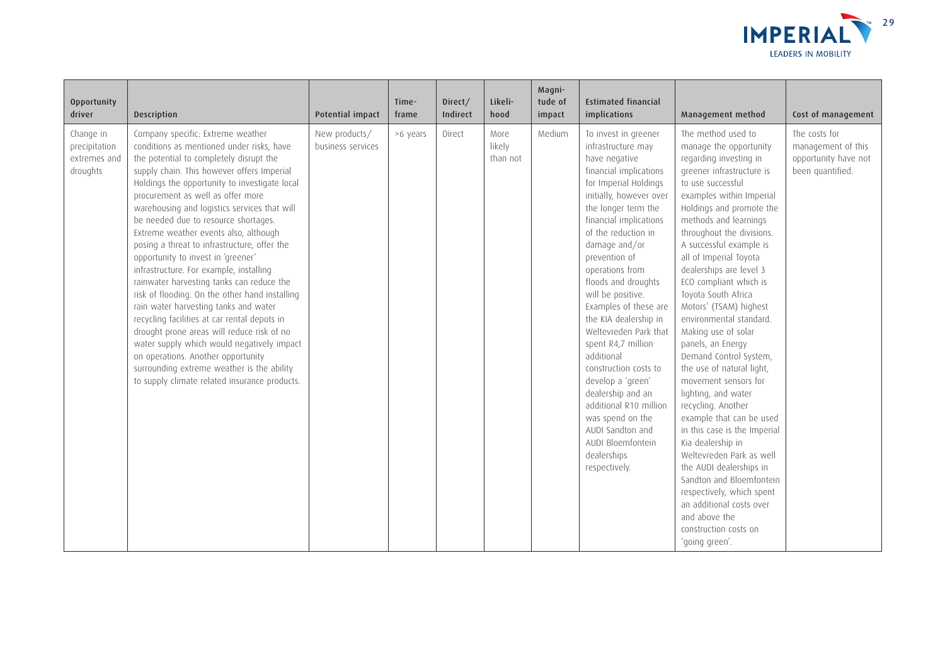

| Opportunity<br>driver                                  | Description                                                                                                                                                                                                                                                                                                                                                                                                                                                                                                                                                                                                                                                                                                                                                                                                                                                                                                                                              | Potential impact                   | Time-<br>frame | Direct/<br>Indirect | Likeli-<br>hood            | Magni-<br>tude of<br>impact | <b>Estimated financial</b><br>implications                                                                                                                                                                                                                                                                                                                                                                                                                                                                                                                                                                                  | Management method                                                                                                                                                                                                                                                                                                                                                                                                                                                                                                                                                                                                                                                                                                                                                                                                                                                                             | Cost of management                                                              |
|--------------------------------------------------------|----------------------------------------------------------------------------------------------------------------------------------------------------------------------------------------------------------------------------------------------------------------------------------------------------------------------------------------------------------------------------------------------------------------------------------------------------------------------------------------------------------------------------------------------------------------------------------------------------------------------------------------------------------------------------------------------------------------------------------------------------------------------------------------------------------------------------------------------------------------------------------------------------------------------------------------------------------|------------------------------------|----------------|---------------------|----------------------------|-----------------------------|-----------------------------------------------------------------------------------------------------------------------------------------------------------------------------------------------------------------------------------------------------------------------------------------------------------------------------------------------------------------------------------------------------------------------------------------------------------------------------------------------------------------------------------------------------------------------------------------------------------------------------|-----------------------------------------------------------------------------------------------------------------------------------------------------------------------------------------------------------------------------------------------------------------------------------------------------------------------------------------------------------------------------------------------------------------------------------------------------------------------------------------------------------------------------------------------------------------------------------------------------------------------------------------------------------------------------------------------------------------------------------------------------------------------------------------------------------------------------------------------------------------------------------------------|---------------------------------------------------------------------------------|
| Change in<br>precipitation<br>extremes and<br>droughts | Company specific: Extreme weather<br>conditions as mentioned under risks, have<br>the potential to completely disrupt the<br>supply chain. This however offers Imperial<br>Holdings the opportunity to investigate local<br>procurement as well as offer more<br>warehousing and logistics services that will<br>be needed due to resource shortages.<br>Extreme weather events also, although<br>posing a threat to infrastructure, offer the<br>opportunity to invest in 'greener'<br>infrastructure. For example, installing<br>rainwater harvesting tanks can reduce the<br>risk of flooding. On the other hand installing<br>rain water harvesting tanks and water<br>recycling facilities at car rental depots in<br>drought prone areas will reduce risk of no<br>water supply which would negatively impact<br>on operations. Another opportunity<br>surrounding extreme weather is the ability<br>to supply climate related insurance products. | New products/<br>business services | >6 years       | Direct              | More<br>likely<br>than not | Medium                      | To invest in greener<br>infrastructure may<br>have negative<br>financial implications<br>for Imperial Holdings<br>initially, however over<br>the longer term the<br>financial implications<br>of the reduction in<br>damage and/or<br>prevention of<br>operations from<br>floods and droughts<br>will be positive.<br>Examples of these are<br>the KIA dealership in<br>Weltevreden Park that<br>spent R4,7 million<br>additional<br>construction costs to<br>develop a 'green'<br>dealership and an<br>additional R10 million<br>was spend on the<br>AUDI Sandton and<br>AUDI Bloemfontein<br>dealerships<br>respectively. | The method used to<br>manage the opportunity<br>regarding investing in<br>greener infrastructure is<br>to use successful<br>examples within Imperial<br>Holdings and promote the<br>methods and learnings<br>throughout the divisions.<br>A successful example is<br>all of Imperial Toyota<br>dealerships are level 3<br>ECO compliant which is<br>Toyota South Africa<br>Motors' (TSAM) highest<br>environmental standard.<br>Making use of solar<br>panels, an Energy<br>Demand Control System,<br>the use of natural light,<br>movement sensors for<br>lighting, and water<br>recycling. Another<br>example that can be used<br>in this case is the Imperial<br>Kia dealership in<br>Weltevreden Park as well<br>the AUDI dealerships in<br>Sandton and Bloemfontein<br>respectively, which spent<br>an additional costs over<br>and above the<br>construction costs on<br>'going green'. | The costs for<br>management of this<br>opportunity have not<br>been quantified. |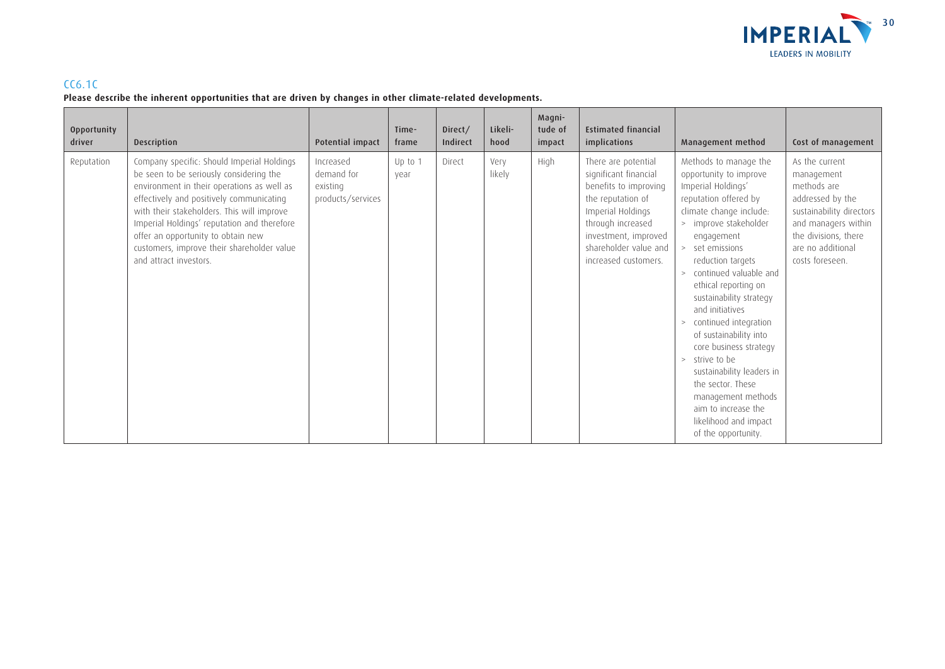

### CC6.1C

**Please describe the inherent opportunities that are driven by changes in other climate-related developments.**

| Opportunity<br>driver | Description                                                                                                                                                                                                                                                                                                                                                                                | Potential impact                                         | Time-<br>frame  | Direct/<br>Indirect | Likeli-<br>hood | Magni-<br>tude of<br>impact | <b>Estimated financial</b><br>implications                                                                                                                                                                    | Management method                                                                                                                                                                                                                                                                                                                                                                                                                                                                                                                                             | Cost of management                                                                                                                                                                 |
|-----------------------|--------------------------------------------------------------------------------------------------------------------------------------------------------------------------------------------------------------------------------------------------------------------------------------------------------------------------------------------------------------------------------------------|----------------------------------------------------------|-----------------|---------------------|-----------------|-----------------------------|---------------------------------------------------------------------------------------------------------------------------------------------------------------------------------------------------------------|---------------------------------------------------------------------------------------------------------------------------------------------------------------------------------------------------------------------------------------------------------------------------------------------------------------------------------------------------------------------------------------------------------------------------------------------------------------------------------------------------------------------------------------------------------------|------------------------------------------------------------------------------------------------------------------------------------------------------------------------------------|
| Reputation            | Company specific: Should Imperial Holdings<br>be seen to be seriously considering the<br>environment in their operations as well as<br>effectively and positively communicating<br>with their stakeholders. This will improve<br>Imperial Holdings' reputation and therefore<br>offer an opportunity to obtain new<br>customers, improve their shareholder value<br>and attract investors. | Increased<br>demand for<br>existing<br>products/services | Up to 1<br>vear | Direct              | Verv<br>likely  | High                        | There are potential<br>significant financial<br>benefits to improving<br>the reputation of<br>Imperial Holdings<br>through increased<br>investment, improved<br>shareholder value and<br>increased customers. | Methods to manage the<br>opportunity to improve<br>Imperial Holdings'<br>reputation offered by<br>climate change include:<br>> improve stakeholder<br>engagement<br>> set emissions<br>reduction targets<br>> continued valuable and<br>ethical reporting on<br>sustainability strategy<br>and initiatives<br>continued integration<br>><br>of sustainability into<br>core business strategy<br>> strive to be<br>sustainability leaders in<br>the sector. These<br>management methods<br>aim to increase the<br>likelihood and impact<br>of the opportunity. | As the current<br>management<br>methods are<br>addressed by the<br>sustainability directors<br>and managers within<br>the divisions, there<br>are no additional<br>costs foreseen. |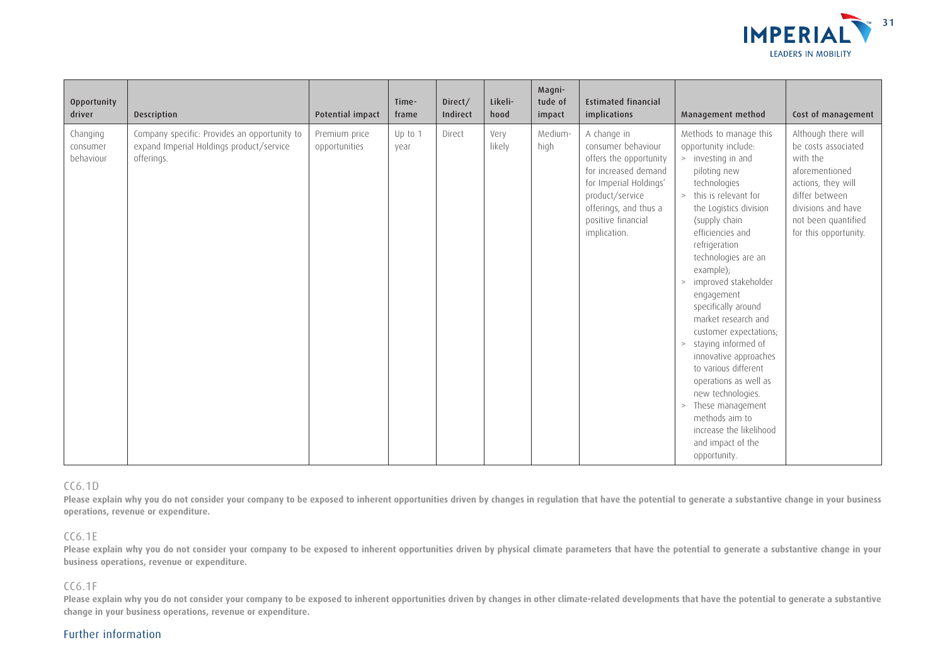

| <b>Opportunity</b><br>driver      | <b>Description</b>                                                                                     | Potential impact               | Time-<br>frame  | Direct/<br>Indirect | Likeli-<br>hood | Magni-<br>tude of<br>impact | <b>Estimated financial</b><br>implications                                                                                                                                                      | Management method                                                                                                                                                                                                                                                                                                                                                                                                                                                                                                                                                                                                 | Cost of management                                                                                                                                                                     |
|-----------------------------------|--------------------------------------------------------------------------------------------------------|--------------------------------|-----------------|---------------------|-----------------|-----------------------------|-------------------------------------------------------------------------------------------------------------------------------------------------------------------------------------------------|-------------------------------------------------------------------------------------------------------------------------------------------------------------------------------------------------------------------------------------------------------------------------------------------------------------------------------------------------------------------------------------------------------------------------------------------------------------------------------------------------------------------------------------------------------------------------------------------------------------------|----------------------------------------------------------------------------------------------------------------------------------------------------------------------------------------|
| Changing<br>consumer<br>behaviour | Company specific: Provides an opportunity to<br>expand Imperial Holdings product/service<br>offerings. | Premium price<br>opportunities | Up to 1<br>year | Direct              | Very<br>likely  | Medium-<br>high             | A change in<br>consumer behaviour<br>offers the opportunity<br>for increased demand<br>for Imperial Holdings'<br>product/service<br>offerings, and thus a<br>positive financial<br>implication. | Methods to manage this<br>opportunity include:<br>> investing in and<br>piloting new<br>technologies<br>> this is relevant for<br>the Logistics division<br>(supply chain<br>efficiencies and<br>refrigeration<br>technologies are an<br>example);<br>> improved stakeholder<br>engagement<br>specifically around<br>market research and<br>customer expectations;<br>staying informed of<br>$\,>$<br>innovative approaches<br>to various different<br>operations as well as<br>new technologies.<br>These management<br>$\, >$<br>methods aim to<br>increase the likelihood<br>and impact of the<br>opportunity. | Although there will<br>be costs associated<br>with the<br>aforementioned<br>actions, they will<br>differ between<br>divisions and have<br>not been quantified<br>for this opportunity. |

#### CC6.1D

Please explain why you do not consider your company to be exposed to inherent opportunities driven by changes in regulation that have the potential to generate a substantive change in your business **operations, revenue or expenditure.**

#### CC6.1E

Please explain why you do not consider your company to be exposed to inherent opportunities driven by physical climate parameters that have the potential to generate a substantive change in your **business operations, revenue or expenditure.**

#### CC6.1F

Please explain why you do not consider your company to be exposed to inherent opportunities driven by changes in other climate-related developments that have the potential to generate a substantive **change in your business operations, revenue or expenditure.**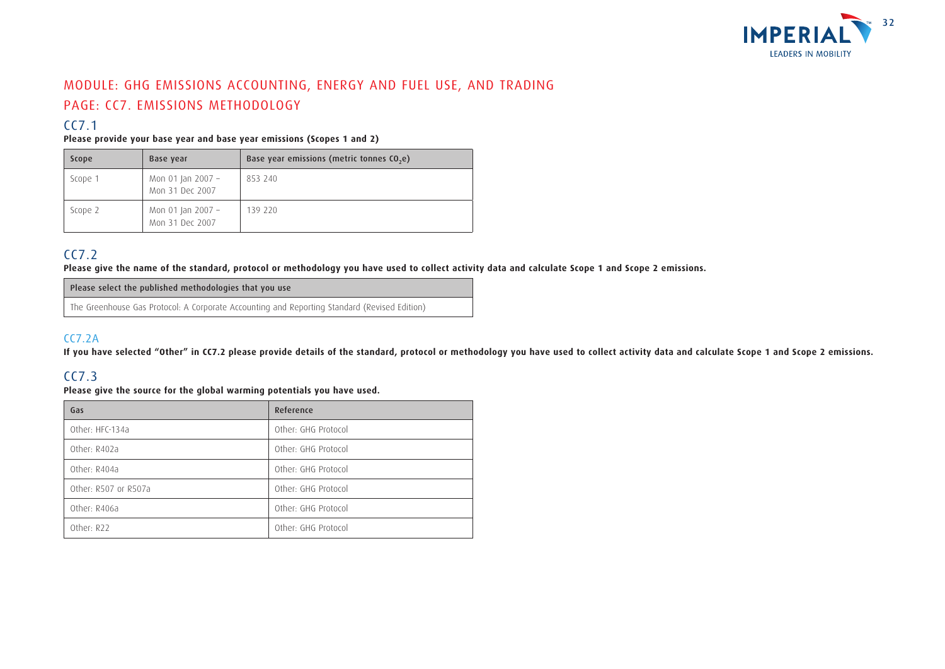

## MODULE: GHG EMISSIONS ACCOUNTING, ENERGY AND FUEL USE, AND TRADING PAGE: CC7. EMISSIONS METHODOLOGY

## CC7.1

#### **Please provide your base year and base year emissions (Scopes 1 and 2)**

| Scope   | Base year                            | Base year emissions (metric tonnes CO <sub>2</sub> e) |
|---------|--------------------------------------|-------------------------------------------------------|
| Scope 1 | Mon 01 Jan 2007 -<br>Mon 31 Dec 2007 | 853 240                                               |
| Scope 2 | Mon 01 Jan 2007 -<br>Mon 31 Dec 2007 | 139 220                                               |

### CC7.2

**Please give the name of the standard, protocol or methodology you have used to collect activity data and calculate Scope 1 and Scope 2 emissions.**

Please select the published methodologies that you use

The Greenhouse Gas Protocol: A Corporate Accounting and Reporting Standard (Revised Edition)

### CC7.2A

**If you have selected "Other" in CC7.2 please provide details of the standard, protocol or methodology you have used to collect activity data and calculate Scope 1 and Scope 2 emissions.**

### CC7.3

**Please give the source for the global warming potentials you have used.**

| Gas                  | Reference           |
|----------------------|---------------------|
| Other: HFC-134a      | Other: GHG Protocol |
| Other: R402a         | Other: GHG Protocol |
| Other: R404a         | Other: GHG Protocol |
| Other: R507 or R507a | Other: GHG Protocol |
| Other: R406a         | Other: GHG Protocol |
| Other: R22           | Other: GHG Protocol |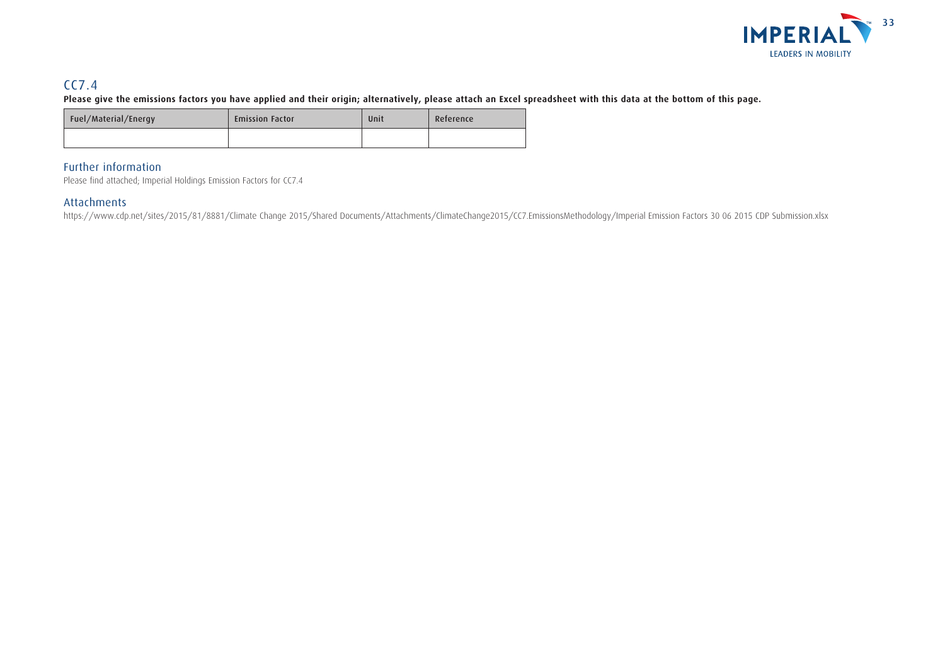

## CC7.4

**Please give the emissions factors you have applied and their origin; alternatively, please attach an Excel spreadsheet with this data at the bottom of this page.**

| Fuel/Material/Energy | <b>Emission Factor</b> | Unit | Reference |
|----------------------|------------------------|------|-----------|
|                      |                        |      |           |

### Further information

Please find attached; Imperial Holdings Emission Factors for CC7.4

### Attachments

https://www.cdp.net/sites/2015/81/8881/Climate Change 2015/Shared Documents/Attachments/ClimateChange2015/CC7.EmissionsMethodology/Imperial Emission Factors 30 06 2015 CDP Submission.xlsx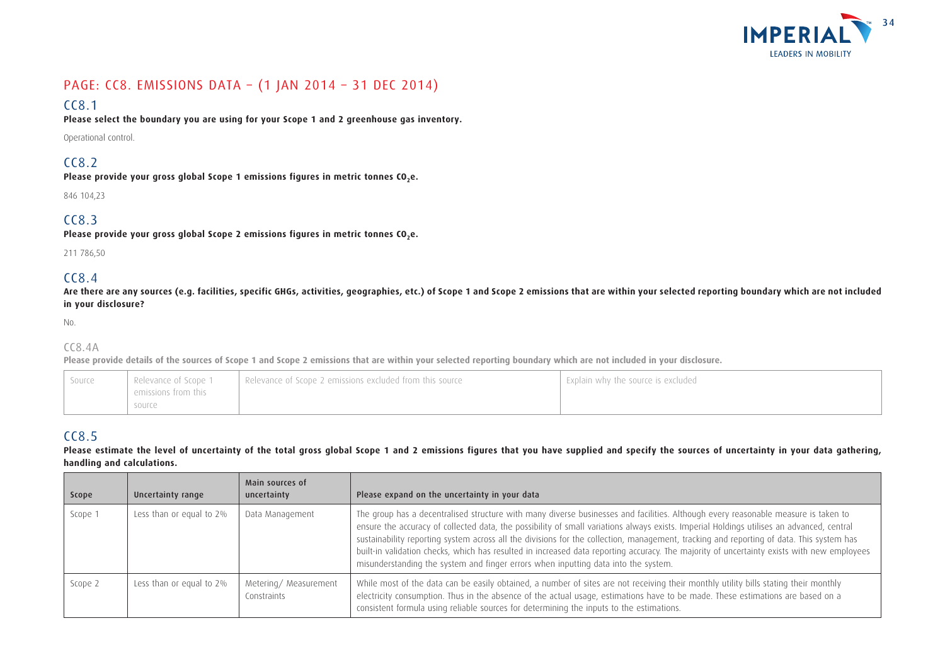

## PAGE: CC8. EMISSIONS DATA – (1 JAN 2014 – 31 DEC 2014)

## CC8.1

**Please select the boundary you are using for your Scope 1 and 2 greenhouse gas inventory.**

Operational control.

## CC8.2

Please provide your gross global Scope 1 emissions figures in metric tonnes CO<sub>2</sub>e.

846 104,23

### CC8.3

Please provide your gross global Scope 2 emissions figures in metric tonnes CO<sub>2</sub>e.

211 786,50

## $CC8.4$

Are there are any sources (e.g. facilities, specific GHGs, activities, geographies, etc.) of Scope 1 and Scope 2 emissions that are within your selected reporting boundary which are not included **in your disclosure?**

No.

### CC8.4A

**Please provide details of the sources of Scope 1 and Scope 2 emissions that are within your selected reporting boundary which are not included in your disclosure.**

| emissions from this<br>source | Relevance of Scope 1<br>Source | Relevance of Scope 2 emissions excluded from this source | Explain why the source is excluded |  |
|-------------------------------|--------------------------------|----------------------------------------------------------|------------------------------------|--|
|-------------------------------|--------------------------------|----------------------------------------------------------|------------------------------------|--|

## CC8.5

#### Please estimate the level of uncertainty of the total gross global Scope 1 and 2 emissions figures that you have supplied and specify the sources of uncertainty in your data gathering, **handling and calculations.**

| Scope   | Uncertainty range        | Main sources of<br>uncertainty      | Please expand on the uncertainty in your data                                                                                                                                                                                                                                                                                                                                                                                                                                                                                                                                                                                                                   |
|---------|--------------------------|-------------------------------------|-----------------------------------------------------------------------------------------------------------------------------------------------------------------------------------------------------------------------------------------------------------------------------------------------------------------------------------------------------------------------------------------------------------------------------------------------------------------------------------------------------------------------------------------------------------------------------------------------------------------------------------------------------------------|
| Scope 1 | Less than or equal to 2% | Data Management                     | The group has a decentralised structure with many diverse businesses and facilities. Although every reasonable measure is taken to<br>ensure the accuracy of collected data, the possibility of small variations always exists. Imperial Holdings utilises an advanced, central<br>sustainability reporting system across all the divisions for the collection, management, tracking and reporting of data. This system has<br>built-in validation checks, which has resulted in increased data reporting accuracy. The majority of uncertainty exists with new employees<br>misunderstanding the system and finger errors when inputting data into the system. |
| Scope 2 | Less than or equal to 2% | Metering/Measurement<br>Constraints | While most of the data can be easily obtained, a number of sites are not receiving their monthly utility bills stating their monthly<br>electricity consumption. Thus in the absence of the actual usage, estimations have to be made. These estimations are based on a<br>consistent formula using reliable sources for determining the inputs to the estimations.                                                                                                                                                                                                                                                                                             |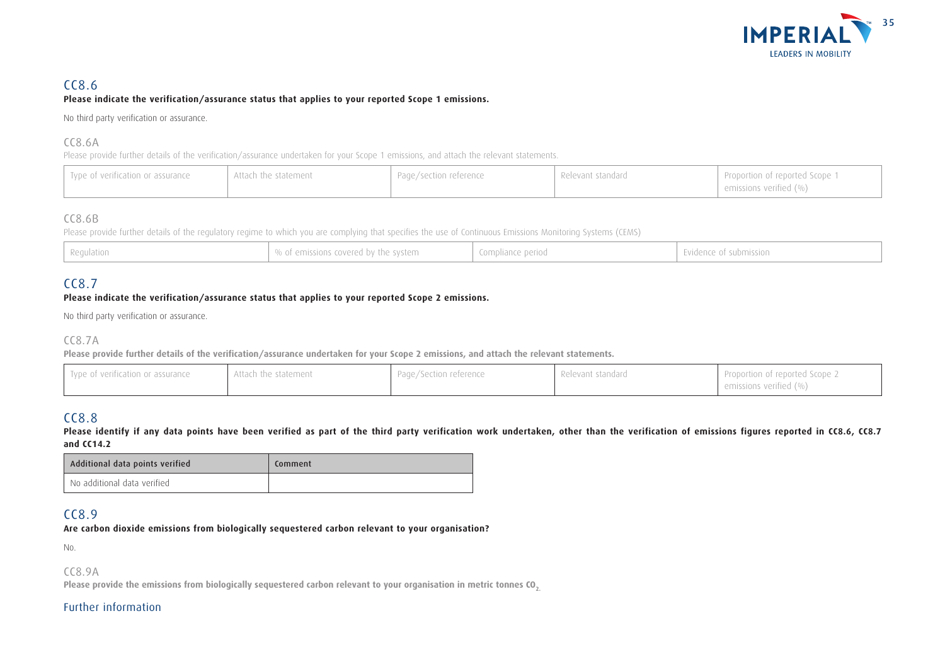

#### CC8.6 **Please indicate the verification/assurance status that applies to your reported Scope 1 emissions.**

No third party verification or assurance.

#### CC8.6A

Please provide further details of the verification/assurance undertaken for your Scope 1 emissions, and attach the relevant statements.

| Type of verification or assurance | Attach the statement | Page/section reference | Relevant standard | Proportion of reported Scope 1<br>$\pm$ emissions verified (%) |
|-----------------------------------|----------------------|------------------------|-------------------|----------------------------------------------------------------|
|-----------------------------------|----------------------|------------------------|-------------------|----------------------------------------------------------------|

### CC8.6B

Please provide further details of the regulatory regime to which you are complying that specifies the use of Continuous Emissions Monitoring Systems (CEMS)

| % of emissions covered by the system<br>$\mid$ Regulation | Compliance period | Evidence of submission |
|-----------------------------------------------------------|-------------------|------------------------|
|-----------------------------------------------------------|-------------------|------------------------|

## CC8.7

#### **Please indicate the verification/assurance status that applies to your reported Scope 2 emissions.**

No third party verification or assurance.

### CC8.7A

**Please provide further details of the verification/assurance undertaken for your Scope 2 emissions, and attach the relevant statements.**

| Type of verification or assurance | Page/Section reference | Proportion of reported Scope 2 |
|-----------------------------------|------------------------|--------------------------------|
| Attach the statement              | Relevant standard      | emissions verified (%)         |

## CC8.8

Please identify if any data points have been verified as part of the third party verification work undertaken, other than the verification of emissions figures reported in CC8.6, CC8.7 **and CC14.2**

| Additional data points verified | Comment |
|---------------------------------|---------|
| No additional data verified     |         |

### CC8.9

**Are carbon dioxide emissions from biologically sequestered carbon relevant to your organisation?**

No.

CC8.9A

**Please provide the emissions from biologically sequestered carbon relevant to your organisation in metric tonnes CO2.**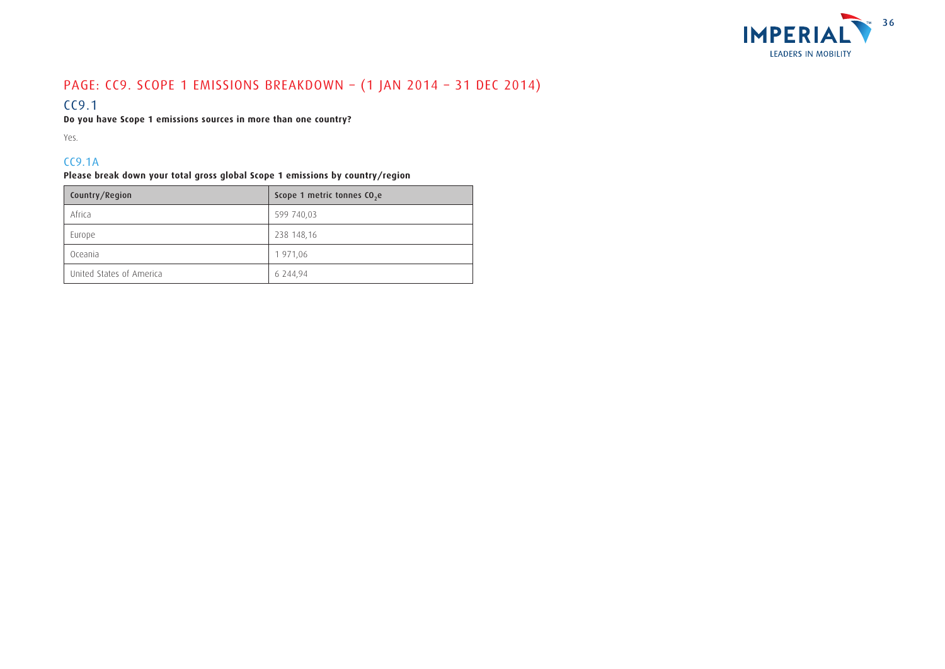

## PAGE: CC9. SCOPE 1 EMISSIONS BREAKDOWN – (1 JAN 2014 – 31 DEC 2014)

### CC9.1

**Do you have Scope 1 emissions sources in more than one country?**

Yes.

### CC9.1A

**Please break down your total gross global Scope 1 emissions by country/region**

| Country/Region           | Scope 1 metric tonnes CO <sub>2</sub> e |
|--------------------------|-----------------------------------------|
| Africa                   | 599 740,03                              |
| Europe                   | 238 148,16                              |
| Oceania                  | 1 971,06                                |
| United States of America | 6 244,94                                |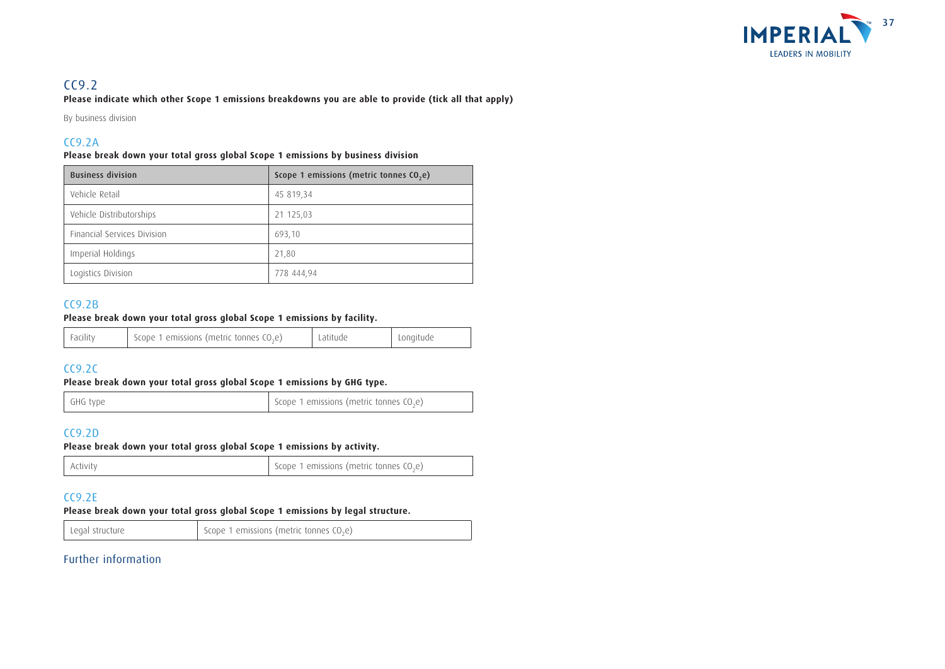

### $CC9.2$

**Please indicate which other Scope 1 emissions breakdowns you are able to provide (tick all that apply)**

By business division

### CC9.2A

#### **Please break down your total gross global Scope 1 emissions by business division**

| <b>Business division</b>           | Scope 1 emissions (metric tonnes CO <sub>2</sub> e) |
|------------------------------------|-----------------------------------------------------|
| Vehicle Retail                     | 45 819,34                                           |
| Vehicle Distributorships           | 21 125,03                                           |
| <b>Financial Services Division</b> | 693,10                                              |
| Imperial Holdings                  | 21,80                                               |
| Logistics Division                 | 778 444,94                                          |

### CC9.2B

#### **Please break down your total gross global Scope 1 emissions by facility.**

| Scope 1 emissions (metric tonnes $CO2e$ )<br>' Facility | Latitude | Longitude |
|---------------------------------------------------------|----------|-----------|
|---------------------------------------------------------|----------|-----------|

### CC9.2C

#### **Please break down your total gross global Scope 1 emissions by GHG type.**

| GHG type | Scope 1 emissions (metric tonnes CO <sub>2</sub> e) |
|----------|-----------------------------------------------------|
|----------|-----------------------------------------------------|

### CC9.2D

#### **Please break down your total gross global Scope 1 emissions by activity.**

| Activity | Scope 1 emissions (metric tonnes $CO2e$ ) |
|----------|-------------------------------------------|
|          |                                           |

### CC9.2E

#### **Please break down your total gross global Scope 1 emissions by legal structure.**

Legal structure  $\Big|$  Scope 1 emissions (metric tonnes CO<sub>2</sub>e)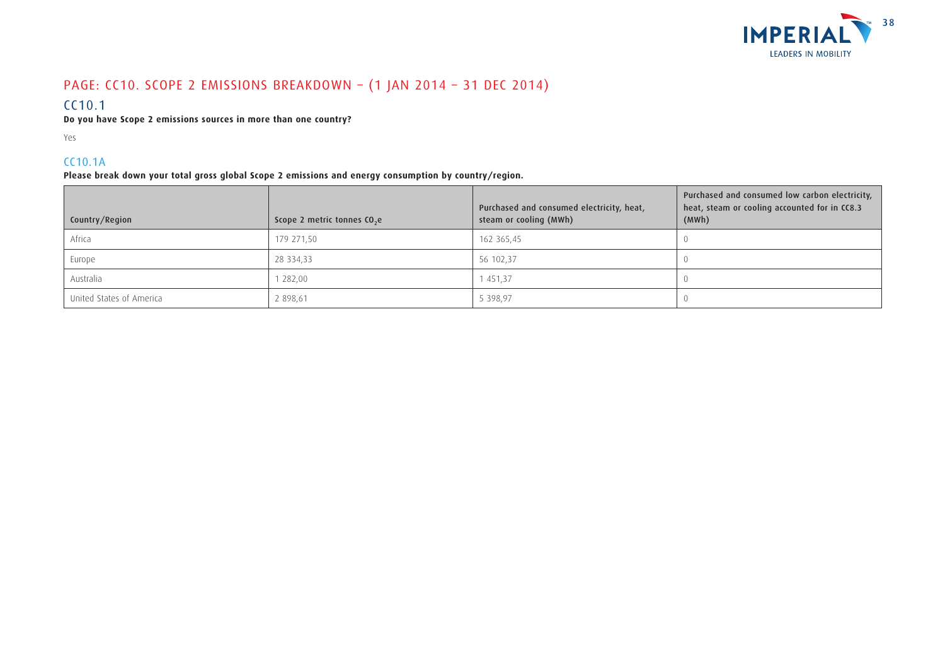

## PAGE: CC10. SCOPE 2 EMISSIONS BREAKDOWN – (1 JAN 2014 – 31 DEC 2014)

### CC10.1

**Do you have Scope 2 emissions sources in more than one country?**

Yes

### CC10.1A

**Please break down your total gross global Scope 2 emissions and energy consumption by country/region.**

| Country/Region           | Scope 2 metric tonnes CO <sub>2</sub> e | Purchased and consumed electricity, heat,<br>steam or cooling (MWh) | Purchased and consumed low carbon electricity,<br>heat, steam or cooling accounted for in CC8.3<br>(MWh) |
|--------------------------|-----------------------------------------|---------------------------------------------------------------------|----------------------------------------------------------------------------------------------------------|
| Africa                   | 179 271,50                              | 162 365,45                                                          |                                                                                                          |
| Europe                   | 28 334,33                               | 56 102,37                                                           |                                                                                                          |
| Australia                | 282,00                                  | 1451,37                                                             |                                                                                                          |
| United States of America | 2 898,61                                | 5 398,97                                                            |                                                                                                          |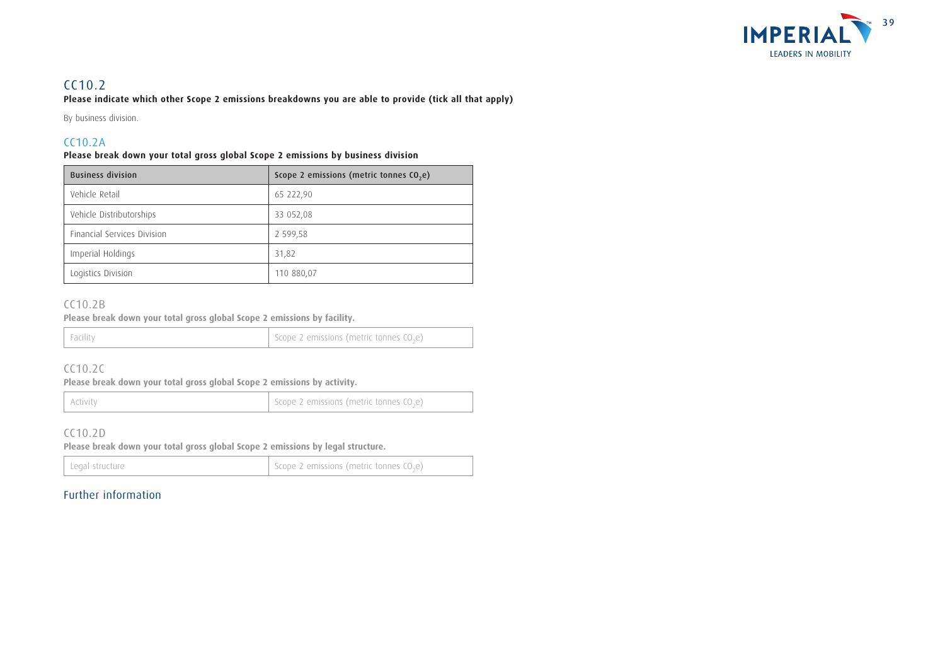

## CC10.2

**Please indicate which other Scope 2 emissions breakdowns you are able to provide (tick all that apply)**

By business division.

### CC10.2A

#### **Please break down your total gross global Scope 2 emissions by business division**

| <b>Business division</b>    | Scope 2 emissions (metric tonnes CO <sub>2</sub> e) |
|-----------------------------|-----------------------------------------------------|
| Vehicle Retail              | 65 222,90                                           |
| Vehicle Distributorships    | 33 052,08                                           |
| Financial Services Division | 2 599,58                                            |
| Imperial Holdings           | 31,82                                               |
| Logistics Division          | 110 880,07                                          |

### CC10.2B

**Please break down your total gross global Scope 2 emissions by facility.**

### CC10.2C

**Please break down your total gross global Scope 2 emissions by activity.**

Activity Activity Activity Activity Activity Scope 2 emissions (metric tonnes CO<sub>2</sub>e)

### CC10.2D

**Please break down your total gross global Scope 2 emissions by legal structure.**

| Legal structure | Scope 2 emissions (metric tonnes $(0,e)$ ) |
|-----------------|--------------------------------------------|
|-----------------|--------------------------------------------|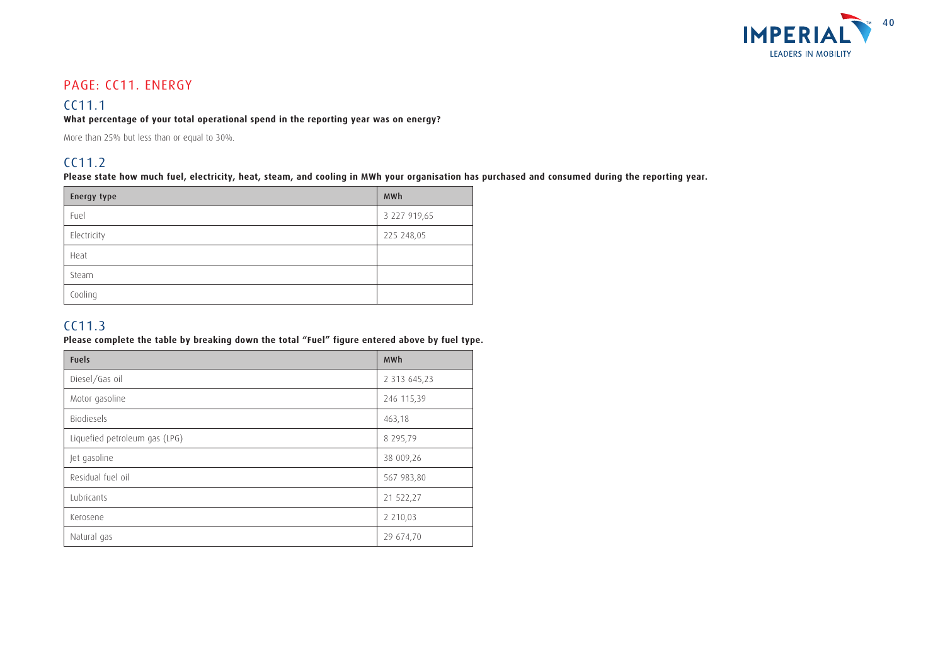

## PAGE: CC11. ENERGY

## CC11.1

#### **What percentage of your total operational spend in the reporting year was on energy?**

More than 25% but less than or equal to 30%.

### CC11.2

**Please state how much fuel, electricity, heat, steam, and cooling in MWh your organisation has purchased and consumed during the reporting year.**

| <b>Energy type</b> | <b>MWh</b>   |
|--------------------|--------------|
| Fuel               | 3 227 919,65 |
| Electricity        | 225 248,05   |
| Heat               |              |
| Steam              |              |
| Cooling            |              |

### CC11.3

#### **Please complete the table by breaking down the total "Fuel" figure entered above by fuel type.**

| <b>Fuels</b>                  | <b>MWh</b>    |
|-------------------------------|---------------|
| Diesel/Gas oil                | 2 313 645,23  |
| Motor gasoline                | 246 115,39    |
| <b>Biodiesels</b>             | 463,18        |
| Liquefied petroleum gas (LPG) | 8 295,79      |
| Jet gasoline                  | 38 009,26     |
| Residual fuel oil             | 567 983,80    |
| Lubricants                    | 21 522,27     |
| Kerosene                      | 2 2 1 0 , 0 3 |
| Natural gas                   | 29 674,70     |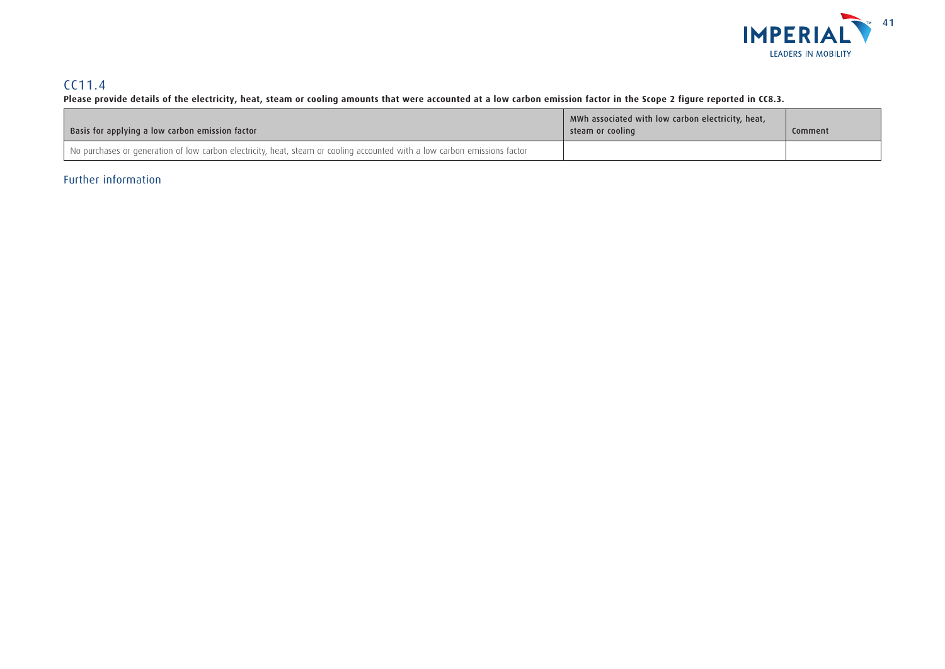

## CC11.4

#### **Please provide details of the electricity, heat, steam or cooling amounts that were accounted at a low carbon emission factor in the Scope 2 figure reported in CC8.3.**

| Basis for applying a low carbon emission factor                                                                           | MWh associated with low carbon electricity, heat,<br>l steam or cooling | Comment |
|---------------------------------------------------------------------------------------------------------------------------|-------------------------------------------------------------------------|---------|
| No purchases or generation of low carbon electricity, heat, steam or cooling accounted with a low carbon emissions factor |                                                                         |         |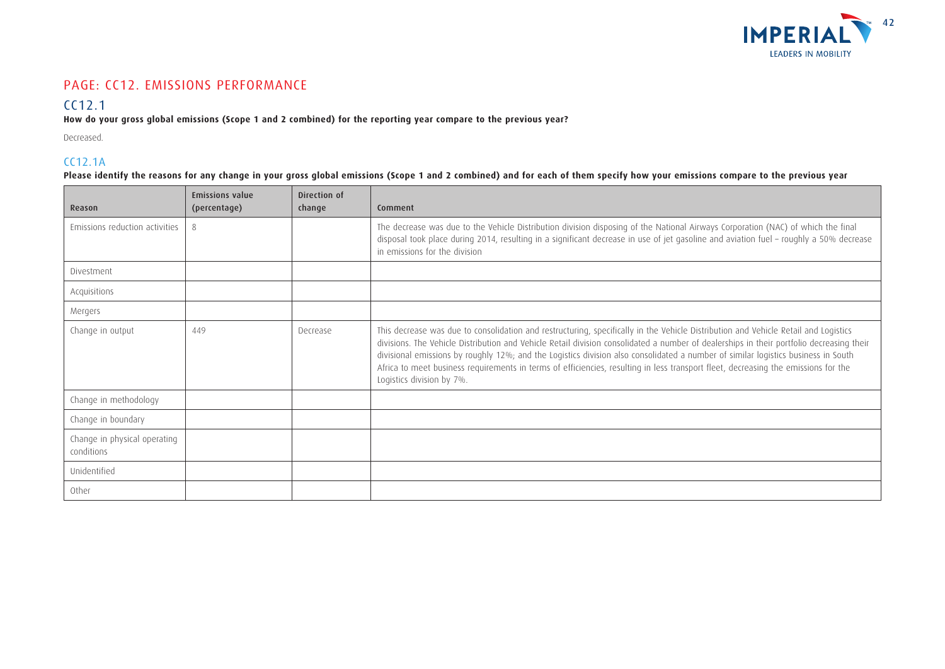

### PAGE: CC12. EMISSIONS PERFORMANCE

## CC12.1

### **How do your gross global emissions (Scope 1 and 2 combined) for the reporting year compare to the previous year?**

Decreased.

### CC12.1A

**Please identify the reasons for any change in your gross global emissions (Scope 1 and 2 combined) and for each of them specify how your emissions compare to the previous year**

| Reason                                     | <b>Emissions value</b><br>(percentage) | Direction of<br>change | Comment                                                                                                                                                                                                                                                                                                                                                                                                                                                                                                                                                                                 |
|--------------------------------------------|----------------------------------------|------------------------|-----------------------------------------------------------------------------------------------------------------------------------------------------------------------------------------------------------------------------------------------------------------------------------------------------------------------------------------------------------------------------------------------------------------------------------------------------------------------------------------------------------------------------------------------------------------------------------------|
| Emissions reduction activities             | 8                                      |                        | The decrease was due to the Vehicle Distribution division disposing of the National Airways Corporation (NAC) of which the final<br>disposal took place during 2014, resulting in a significant decrease in use of jet gasoline and aviation fuel - roughly a 50% decrease<br>in emissions for the division                                                                                                                                                                                                                                                                             |
| Divestment                                 |                                        |                        |                                                                                                                                                                                                                                                                                                                                                                                                                                                                                                                                                                                         |
| Acquisitions                               |                                        |                        |                                                                                                                                                                                                                                                                                                                                                                                                                                                                                                                                                                                         |
| Mergers                                    |                                        |                        |                                                                                                                                                                                                                                                                                                                                                                                                                                                                                                                                                                                         |
| Change in output                           | 449                                    | Decrease               | This decrease was due to consolidation and restructuring, specifically in the Vehicle Distribution and Vehicle Retail and Logistics<br>divisions. The Vehicle Distribution and Vehicle Retail division consolidated a number of dealerships in their portfolio decreasing their<br>divisional emissions by roughly 12%; and the Logistics division also consolidated a number of similar logistics business in South<br>Africa to meet business requirements in terms of efficiencies, resulting in less transport fleet, decreasing the emissions for the<br>Logistics division by 7%. |
| Change in methodology                      |                                        |                        |                                                                                                                                                                                                                                                                                                                                                                                                                                                                                                                                                                                         |
| Change in boundary                         |                                        |                        |                                                                                                                                                                                                                                                                                                                                                                                                                                                                                                                                                                                         |
| Change in physical operating<br>conditions |                                        |                        |                                                                                                                                                                                                                                                                                                                                                                                                                                                                                                                                                                                         |
| Unidentified                               |                                        |                        |                                                                                                                                                                                                                                                                                                                                                                                                                                                                                                                                                                                         |
| Other                                      |                                        |                        |                                                                                                                                                                                                                                                                                                                                                                                                                                                                                                                                                                                         |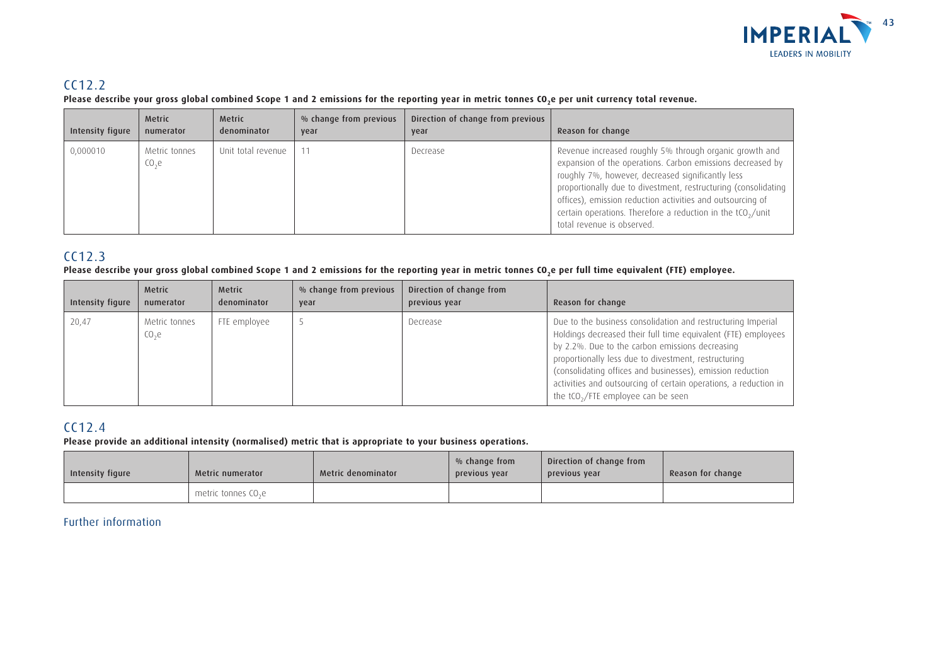

## CC12.2

Please describe your gross global combined Scope 1 and 2 emissions for the reporting year in metric tonnes CO<sub>2</sub>e per unit currency total revenue.

| Intensity figure | <b>Metric</b><br>numerator         | <b>Metric</b><br>denominator | % change from previous<br>year | Direction of change from previous<br>year | Reason for change                                                                                                                                                                                                                                                                                                                                                                                                     |
|------------------|------------------------------------|------------------------------|--------------------------------|-------------------------------------------|-----------------------------------------------------------------------------------------------------------------------------------------------------------------------------------------------------------------------------------------------------------------------------------------------------------------------------------------------------------------------------------------------------------------------|
| 0,000010         | Metric tonnes<br>CO <sub>2</sub> e | Unit total revenue           |                                | Decrease                                  | Revenue increased roughly 5% through organic growth and<br>expansion of the operations. Carbon emissions decreased by<br>roughly 7%, however, decreased significantly less<br>proportionally due to divestment, restructuring (consolidating  <br>offices), emission reduction activities and outsourcing of<br>certain operations. Therefore a reduction in the tCO <sub>2</sub> /unit<br>total revenue is observed. |

## CC12.3

#### Please describe your gross global combined Scope 1 and 2 emissions for the reporting year in metric tonnes CO<sub>2</sub>e per full time equivalent (FTE) employee.

| Intensity figure | <b>Metric</b><br>numerator         | Metric<br>denominator | % change from previous<br>year | Direction of change from<br>previous year | Reason for change                                                                                                                                                                                                                                                                                                                                                                                                 |
|------------------|------------------------------------|-----------------------|--------------------------------|-------------------------------------------|-------------------------------------------------------------------------------------------------------------------------------------------------------------------------------------------------------------------------------------------------------------------------------------------------------------------------------------------------------------------------------------------------------------------|
| 20,47            | Metric tonnes<br>CO <sub>2</sub> e | FTE employee          |                                | Decrease                                  | Due to the business consolidation and restructuring Imperial<br>Holdings decreased their full time equivalent (FTE) employees<br>by 2.2%. Due to the carbon emissions decreasing<br>proportionally less due to divestment, restructuring<br>(consolidating offices and businesses), emission reduction<br>activities and outsourcing of certain operations, a reduction in<br>the $tCO2/FTE$ employee can be seen |

## CC12.4

**Please provide an additional intensity (normalised) metric that is appropriate to your business operations.**

| Intensity figure | Metric numerator                | Metric denominator | % change from<br>previous year | Direction of change from<br>previous vear | Reason for change |
|------------------|---------------------------------|--------------------|--------------------------------|-------------------------------------------|-------------------|
|                  | metric tonnes CO <sub>2</sub> e |                    |                                |                                           |                   |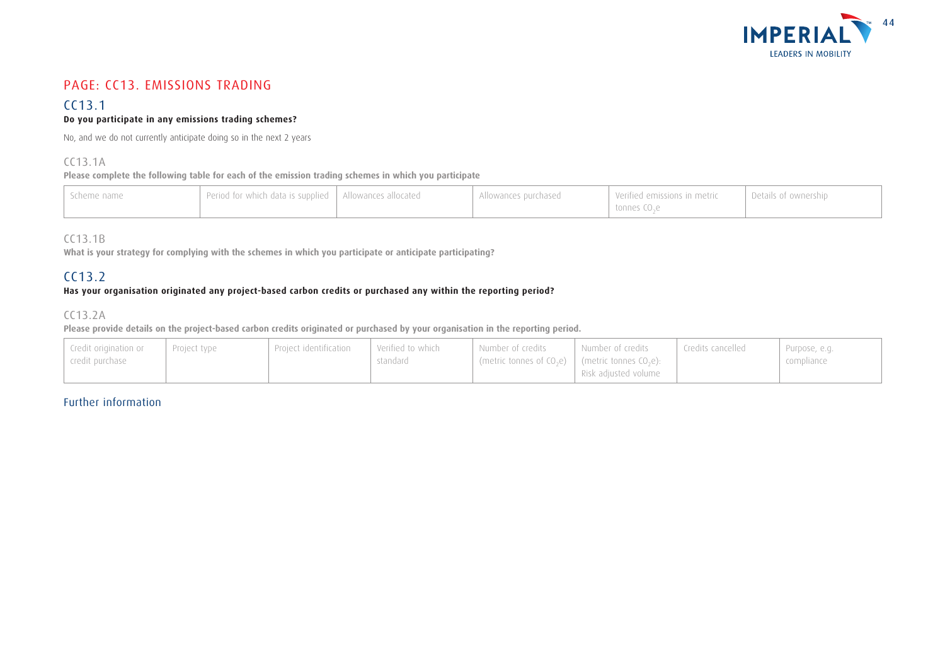

## PAGE: CC13. EMISSIONS TRADING

#### CC13.1 **Do you participate in any emissions trading schemes?**

No, and we do not currently anticipate doing so in the next 2 years

#### CC13.1A

**Please complete the following table for each of the emission trading schemes in which you participate**

| , Scheme name | Period for which data is supplied   Allowances allocated | Allowances purchased | Verified emissions in metric<br>tonnes CO <sub>2</sub> e | <b>Details of ownership</b> |
|---------------|----------------------------------------------------------|----------------------|----------------------------------------------------------|-----------------------------|
|               |                                                          |                      |                                                          |                             |

### CC13.1B

**What is your strategy for complying with the schemes in which you participate or anticipate participating?**

### CC13.2

#### **Has your organisation originated any project-based carbon credits or purchased any within the reporting period?**

### CC13.2A

**Please provide details on the project-based carbon credits originated or purchased by your organisation in the reporting period.**

| Credit origination or<br>  credit purchase | Project type | Proiect identification | Verified to which<br>standard | Number of credits<br>$\mid$ (metric tonnes of CO <sub>2</sub> e) $\mid$ (metric tonnes CO <sub>2</sub> e): | l Number of credits<br>Risk adjusted volume | Credits cancelled | Purpose, e.g.<br>compliance |
|--------------------------------------------|--------------|------------------------|-------------------------------|------------------------------------------------------------------------------------------------------------|---------------------------------------------|-------------------|-----------------------------|
|--------------------------------------------|--------------|------------------------|-------------------------------|------------------------------------------------------------------------------------------------------------|---------------------------------------------|-------------------|-----------------------------|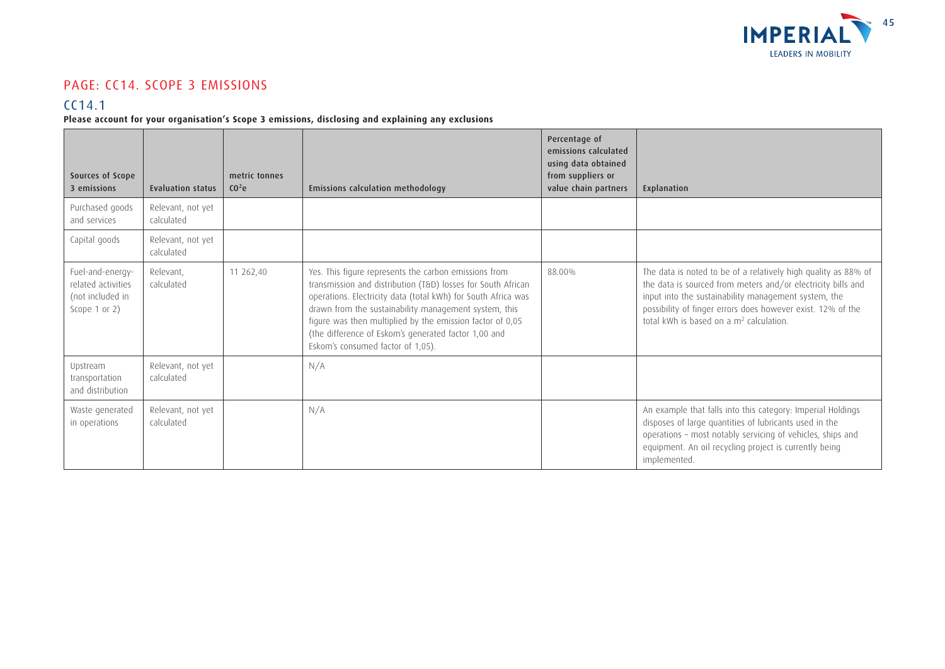

## PAGE: CC14. SCOPE 3 EMISSIONS

### CC14.1

**Please account for your organisation's Scope 3 emissions, disclosing and explaining any exclusions**

| Sources of Scope<br>3 emissions                                                 | Evaluation status               | metric tonnes<br>CO <sup>2</sup> e | <b>Emissions calculation methodology</b>                                                                                                                                                                                                                                                                                                                                                                  | Percentage of<br>emissions calculated<br>using data obtained<br>from suppliers or<br>value chain partners | Explanation                                                                                                                                                                                                                                                                                                  |
|---------------------------------------------------------------------------------|---------------------------------|------------------------------------|-----------------------------------------------------------------------------------------------------------------------------------------------------------------------------------------------------------------------------------------------------------------------------------------------------------------------------------------------------------------------------------------------------------|-----------------------------------------------------------------------------------------------------------|--------------------------------------------------------------------------------------------------------------------------------------------------------------------------------------------------------------------------------------------------------------------------------------------------------------|
| Purchased goods<br>and services                                                 | Relevant, not yet<br>calculated |                                    |                                                                                                                                                                                                                                                                                                                                                                                                           |                                                                                                           |                                                                                                                                                                                                                                                                                                              |
| Capital goods                                                                   | Relevant, not yet<br>calculated |                                    |                                                                                                                                                                                                                                                                                                                                                                                                           |                                                                                                           |                                                                                                                                                                                                                                                                                                              |
| Fuel-and-energy-<br>related activities<br>(not included in<br>Scope $1$ or $2)$ | Relevant,<br>calculated         | 11 262.40                          | Yes. This figure represents the carbon emissions from<br>transmission and distribution (T&D) losses for South African<br>operations. Electricity data (total kWh) for South Africa was<br>drawn from the sustainability management system, this<br>figure was then multiplied by the emission factor of 0,05<br>(the difference of Eskom's generated factor 1,00 and<br>Eskom's consumed factor of 1,05). | 88.00%                                                                                                    | The data is noted to be of a relatively high quality as 88% of<br>the data is sourced from meters and/or electricity bills and<br>input into the sustainability management system, the<br>possibility of finger errors does however exist. 12% of the<br>total kWh is based on a m <sup>2</sup> calculation. |
| Upstream<br>transportation<br>and distribution                                  | Relevant, not yet<br>calculated |                                    | N/A                                                                                                                                                                                                                                                                                                                                                                                                       |                                                                                                           |                                                                                                                                                                                                                                                                                                              |
| Waste generated<br>in operations                                                | Relevant, not yet<br>calculated |                                    | N/A                                                                                                                                                                                                                                                                                                                                                                                                       |                                                                                                           | An example that falls into this category: Imperial Holdings<br>disposes of large quantities of lubricants used in the<br>operations - most notably servicing of vehicles, ships and<br>equipment. An oil recycling project is currently being<br>implemented.                                                |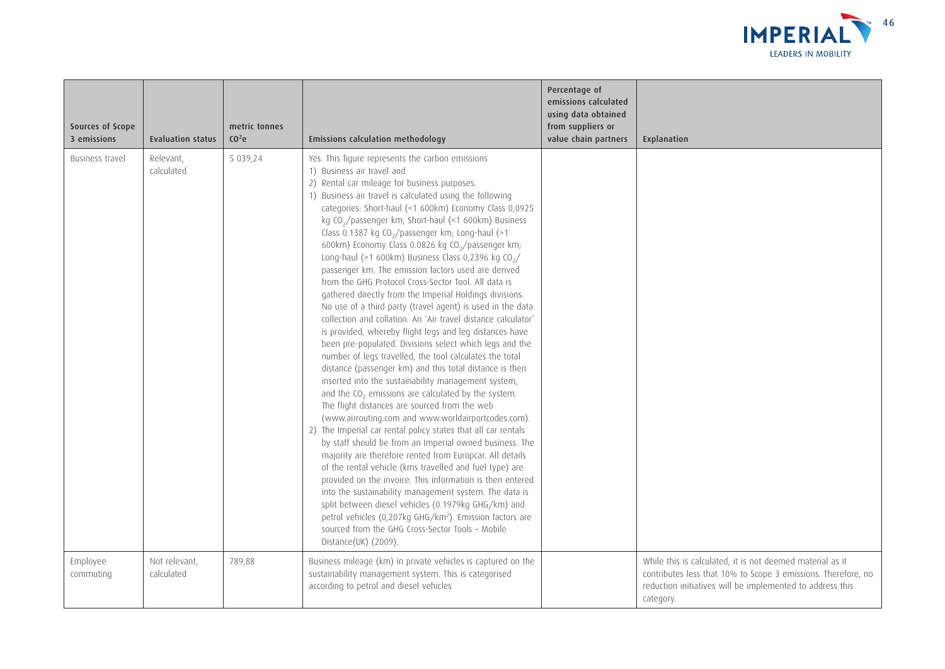

| Sources of Scope<br>3 emissions | <b>Evaluation status</b>    | metric tonnes<br>CO <sup>2</sup> e | <b>Emissions calculation methodology</b>                                                                                                                                                                                                                                                                                                                                                                                                                                                                                                                                                                                                                                                                                                                                                                                                                                                                                                                                                                                                                                                                                                                                                                                                                                                                                                                                                                                                                                                                                                                                                                                                                                                                                                                                                                                                                                                       | Percentage of<br>emissions calculated<br>using data obtained<br>from suppliers or<br>value chain partners | Explanation                                                                                                                                                                                          |
|---------------------------------|-----------------------------|------------------------------------|------------------------------------------------------------------------------------------------------------------------------------------------------------------------------------------------------------------------------------------------------------------------------------------------------------------------------------------------------------------------------------------------------------------------------------------------------------------------------------------------------------------------------------------------------------------------------------------------------------------------------------------------------------------------------------------------------------------------------------------------------------------------------------------------------------------------------------------------------------------------------------------------------------------------------------------------------------------------------------------------------------------------------------------------------------------------------------------------------------------------------------------------------------------------------------------------------------------------------------------------------------------------------------------------------------------------------------------------------------------------------------------------------------------------------------------------------------------------------------------------------------------------------------------------------------------------------------------------------------------------------------------------------------------------------------------------------------------------------------------------------------------------------------------------------------------------------------------------------------------------------------------------|-----------------------------------------------------------------------------------------------------------|------------------------------------------------------------------------------------------------------------------------------------------------------------------------------------------------------|
| Business travel                 | Relevant,<br>calculated     | 5 039,24                           | Yes. This figure represents the carbon emissions<br>1) Business air travel and<br>2) Rental car mileage for business purposes.<br>1) Business air travel is calculated using the following<br>categories: Short-haul (<1 600km) Economy Class 0,0925<br>kg CO <sub>2</sub> /passenger km; Short-haul (<1 600km) Business<br>Class 0.1387 kg CO <sub>2</sub> /passenger km; Long-haul (>1<br>600km) Economy Class 0.0826 kg CO <sub>2</sub> /passenger km;<br>Long-haul (>1 600km) Business Class 0,2396 kg CO <sub>2</sub> /<br>passenger km. The emission factors used are derived<br>from the GHG Protocol Cross-Sector Tool. All data is<br>gathered directly from the Imperial Holdings divisions.<br>No use of a third party (travel agent) is used in the data<br>collection and collation. An 'Air travel distance calculator'<br>is provided, whereby flight legs and leg distances have<br>been pre-populated. Divisions select which legs and the<br>number of legs travelled, the tool calculates the total<br>distance (passenger km) and this total distance is then<br>inserted into the sustainability management system,<br>and the $CO2$ emissions are calculated by the system.<br>The flight distances are sourced from the web<br>(www.airrouting.com and www.worldairportcodes.com).<br>2) The Imperial car rental policy states that all car rentals<br>by staff should be from an Imperial owned business. The<br>majority are therefore rented from Europcar. All details<br>of the rental vehicle (kms travelled and fuel type) are<br>provided on the invoice. This information is then entered<br>into the sustainability management system. The data is<br>split between diesel vehicles (0.1979kg GHG/km) and<br>petrol vehicles (0,207kg GHG/km <sup>2</sup> ). Emission factors are<br>sourced from the GHG Cross-Sector Tools - Mobile<br>Distance(UK) (2009). |                                                                                                           |                                                                                                                                                                                                      |
| Employee<br>commuting           | Not relevant,<br>calculated | 789,88                             | Business mileage (km) in private vehicles is captured on the<br>sustainability management system. This is categorised<br>according to petrol and diesel vehicles                                                                                                                                                                                                                                                                                                                                                                                                                                                                                                                                                                                                                                                                                                                                                                                                                                                                                                                                                                                                                                                                                                                                                                                                                                                                                                                                                                                                                                                                                                                                                                                                                                                                                                                               |                                                                                                           | While this is calculated, it is not deemed material as it<br>contributes less that 10% to Scope 3 emissions. Therefore, no<br>reduction initiatives will be implemented to address this<br>category. |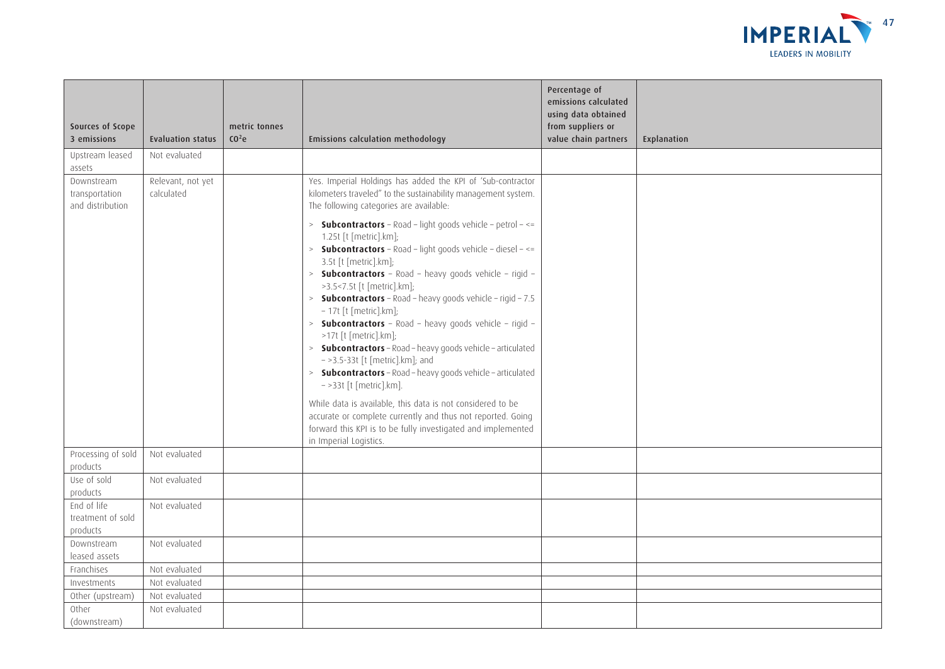

| Sources of Scope<br>3 emissions                  | <b>Evaluation status</b>        | metric tonnes<br>CO <sup>2</sup> C | Emissions calculation methodology                                                                                                                                                                                                                                                                                                                                                                                                                                                                                                                                                                                                                                                                                                                                                                                                                                                                                    | Percentage of<br>emissions calculated<br>using data obtained<br>from suppliers or<br>value chain partners | Explanation |
|--------------------------------------------------|---------------------------------|------------------------------------|----------------------------------------------------------------------------------------------------------------------------------------------------------------------------------------------------------------------------------------------------------------------------------------------------------------------------------------------------------------------------------------------------------------------------------------------------------------------------------------------------------------------------------------------------------------------------------------------------------------------------------------------------------------------------------------------------------------------------------------------------------------------------------------------------------------------------------------------------------------------------------------------------------------------|-----------------------------------------------------------------------------------------------------------|-------------|
| Upstream leased<br>assets                        | Not evaluated                   |                                    |                                                                                                                                                                                                                                                                                                                                                                                                                                                                                                                                                                                                                                                                                                                                                                                                                                                                                                                      |                                                                                                           |             |
| Downstream<br>transportation<br>and distribution | Relevant, not yet<br>calculated |                                    | Yes. Imperial Holdings has added the KPI of 'Sub-contractor<br>kilometers traveled" to the sustainability management system.<br>The following categories are available:                                                                                                                                                                                                                                                                                                                                                                                                                                                                                                                                                                                                                                                                                                                                              |                                                                                                           |             |
|                                                  |                                 |                                    | > <b>Subcontractors</b> - Road - light goods vehicle - petrol - <=<br>1.25t [t [metric].km];<br>$>$ Subcontractors - Road - light goods vehicle - diesel - <=<br>3.5t [t [metric].km];<br>> <b>Subcontractors</b> - Road - heavy goods vehicle - rigid -<br>>3.5<7.5t [t [metric].km];<br><b>Subcontractors</b> - Road - heavy goods vehicle - rigid - 7.5<br>- 17t [t [metric].km];<br>> <b>Subcontractors</b> - Road - heavy goods vehicle - rigid -<br>>17t [t [metric].km];<br>> <b>Subcontractors</b> - Road - heavy goods vehicle - articulated<br>$-$ >3.5-33t [t [metric].km]; and<br>> <b>Subcontractors</b> - Road - heavy goods vehicle - articulated<br>$-$ >33t [t [metric].km].<br>While data is available, this data is not considered to be<br>accurate or complete currently and thus not reported. Going<br>forward this KPI is to be fully investigated and implemented<br>in Imperial Logistics. |                                                                                                           |             |
| Processing of sold<br>products                   | Not evaluated                   |                                    |                                                                                                                                                                                                                                                                                                                                                                                                                                                                                                                                                                                                                                                                                                                                                                                                                                                                                                                      |                                                                                                           |             |
| Use of sold<br>products                          | Not evaluated                   |                                    |                                                                                                                                                                                                                                                                                                                                                                                                                                                                                                                                                                                                                                                                                                                                                                                                                                                                                                                      |                                                                                                           |             |
| End of life<br>treatment of sold<br>products     | Not evaluated                   |                                    |                                                                                                                                                                                                                                                                                                                                                                                                                                                                                                                                                                                                                                                                                                                                                                                                                                                                                                                      |                                                                                                           |             |
| Downstream<br>leased assets                      | Not evaluated                   |                                    |                                                                                                                                                                                                                                                                                                                                                                                                                                                                                                                                                                                                                                                                                                                                                                                                                                                                                                                      |                                                                                                           |             |
| Franchises                                       | Not evaluated                   |                                    |                                                                                                                                                                                                                                                                                                                                                                                                                                                                                                                                                                                                                                                                                                                                                                                                                                                                                                                      |                                                                                                           |             |
| Investments                                      | Not evaluated                   |                                    |                                                                                                                                                                                                                                                                                                                                                                                                                                                                                                                                                                                                                                                                                                                                                                                                                                                                                                                      |                                                                                                           |             |
| Other (upstream)                                 | Not evaluated                   |                                    |                                                                                                                                                                                                                                                                                                                                                                                                                                                                                                                                                                                                                                                                                                                                                                                                                                                                                                                      |                                                                                                           |             |
| Other<br>(downstream)                            | Not evaluated                   |                                    |                                                                                                                                                                                                                                                                                                                                                                                                                                                                                                                                                                                                                                                                                                                                                                                                                                                                                                                      |                                                                                                           |             |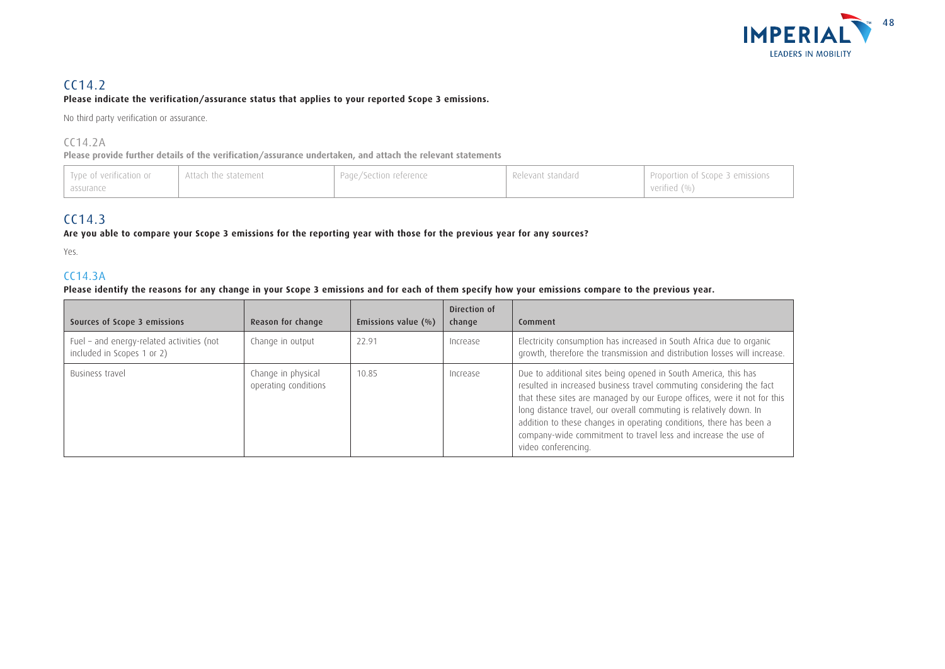

### CC14.2

#### **Please indicate the verification/assurance status that applies to your reported Scope 3 emissions.**

No third party verification or assurance.

#### CC14.2A

**Please provide further details of the verification/assurance undertaken, and attach the relevant statements**

| I Type of verification or<br>assurance | Attach the statement | Page/Section reference | Relevant standard | Proportion of Scope 3 emissions<br>verified (%) |
|----------------------------------------|----------------------|------------------------|-------------------|-------------------------------------------------|
|----------------------------------------|----------------------|------------------------|-------------------|-------------------------------------------------|

### CC14.3

#### **Are you able to compare your Scope 3 emissions for the reporting year with those for the previous year for any sources?**

Yes.

### CC14.3A

#### **Please identify the reasons for any change in your Scope 3 emissions and for each of them specify how your emissions compare to the previous year.**

| Sources of Scope 3 emissions                                            | Reason for change                          | Emissions value $(\% )$ | Direction of<br>change | Comment                                                                                                                                                                                                                                                                                                                                                                                                                                                   |
|-------------------------------------------------------------------------|--------------------------------------------|-------------------------|------------------------|-----------------------------------------------------------------------------------------------------------------------------------------------------------------------------------------------------------------------------------------------------------------------------------------------------------------------------------------------------------------------------------------------------------------------------------------------------------|
| Fuel - and energy-related activities (not<br>included in Scopes 1 or 2) | Change in output                           | 22.91                   | Increase               | Electricity consumption has increased in South Africa due to organic<br>growth, therefore the transmission and distribution losses will increase.                                                                                                                                                                                                                                                                                                         |
| Business travel                                                         | Change in physical<br>operating conditions | 10.85                   | Increase               | Due to additional sites being opened in South America, this has<br>resulted in increased business travel commuting considering the fact<br>that these sites are managed by our Europe offices, were it not for this<br>long distance travel, our overall commuting is relatively down. In<br>addition to these changes in operating conditions, there has been a<br>company-wide commitment to travel less and increase the use of<br>video conferencing. |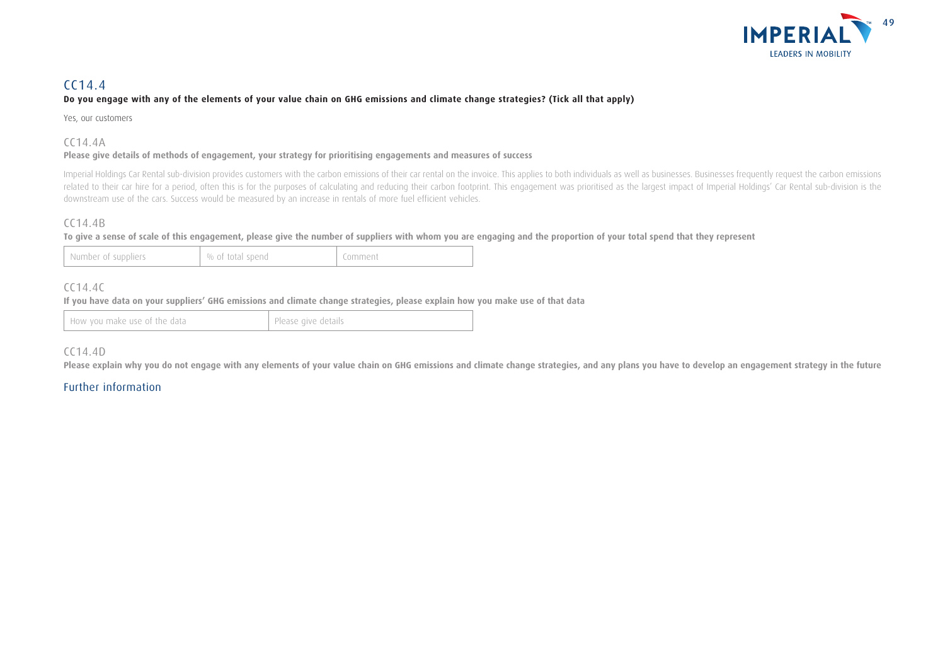

### CC14.4

#### **Do you engage with any of the elements of your value chain on GHG emissions and climate change strategies? (Tick all that apply)**

Yes, our customers

#### CC14.4A

#### **Please give details of methods of engagement, your strategy for prioritising engagements and measures of success**

Imperial Holdings Car Rental sub-division provides customers with the carbon emissions of their car rental on the invoice. This applies to both individuals as well as businesses. Businesses frequently request the carbon em related to their car hire for a period, often this is for the purposes of calculating and reducing their carbon footprint. This engagement was prioritised as the largest impact of Imperial Holdings' Car Rental sub-division downstream use of the cars. Success would be measured by an increase in rentals of more fuel efficient vehicles.

#### CC14.4B

#### **To give a sense of scale of this engagement, please give the number of suppliers with whom you are engaging and the proportion of your total spend that they represent**

| % of total spend<br>Number of suppliers | Comment |
|-----------------------------------------|---------|
|-----------------------------------------|---------|

### CC14.4C

**If you have data on your suppliers' GHG emissions and climate change strategies, please explain how you make use of that data**

How you make use of the data Please give details

#### CC14.4D

**Please explain why you do not engage with any elements of your value chain on GHG emissions and climate change strategies, and any plans you have to develop an engagement strategy in the future**